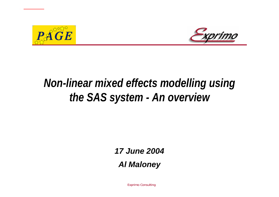



# *Non-linear mixed effects modelling using the SAS system - An overview*

*17 June 2004*

*Al Maloney*

Exprimo Consulting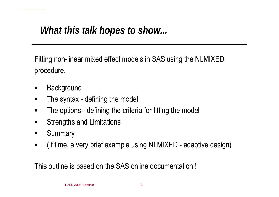# *What this talk hopes to show...*

Fitting non-linear mixed effect models in SAS using the NLMIXED procedure.

- $\blacksquare$ **Background**
- $\blacksquare$ The syntax - defining the model
- $\blacksquare$ The options - defining the criteria for fitting the model
- $\blacksquare$ Strengths and Limitations
- $\blacksquare$ **Summary**
- $\blacksquare$ (If time, a very brief example using NLMIXED - adaptive design)

This outline is based on the SAS online documentation !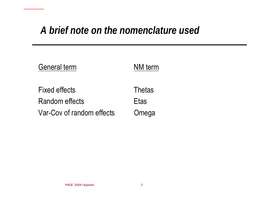# *A brief note on the nomenclature used*

| <b>General term</b>       | NM term       |
|---------------------------|---------------|
| <b>Fixed effects</b>      | <b>Thetas</b> |
| Random effects            | Etas          |
| Var-Cov of random effects | Omega         |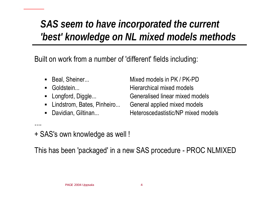# *SAS seem to have incorporated the current 'best' knowledge on NL mixed models methods*

Built on work from a number of 'different' fields including:

- $\blacksquare$
- ■

....

- 
- $\blacksquare$
- ■

 Beal, Sheiner... Mixed models in PK / PK-PD Goldstein... Hierarchical mixed models Longford, Diggle... Generalised linear mixed models Lindstrom, Bates, Pinheiro... General applied mixed models Davidian, Giltinan... Heteroscedastistic/NP mixed models

+ SAS's own knowledge as well !

This has been 'packaged' in a new SAS procedure - PROC NLMIXED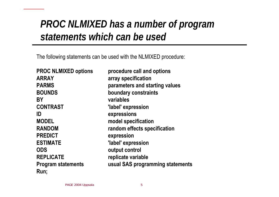## *PROC NLMIXED has a number of program statements which can be used*

The following statements can be used with the NLMIXED procedure:

**PROC NLMIXED options procedure call and options ARRAY array specification PARMS parameters and starting values BOUNDS boundary constraints BY variables CONTRAST 'label' expressi on ID expressions MODEL model s pecification RANDOM random effects s pecification PREDICT expression ESTIMATE**  $\qquad \qquad$  **'label' expression ODS output control REPLICATE** replicate variable **Program statements usual SAS programming statements Run;**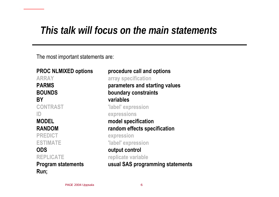# *This talk will focus on the main statements*

The most important statements are:

**PROC NLMIXED options procedure call and options ARRAY array specification PARMS parameters and starting values BOUNDS boundary constraints BY variables CONTRAST 'label' expressi o n ID expressions MODEL model s pecification RANDOM random effects s pecification PREDICT expression ESTIMATE** 'label' expression **ODS output control REPLICATE** replicate variable **Program statements usual SAS programming statements Run;**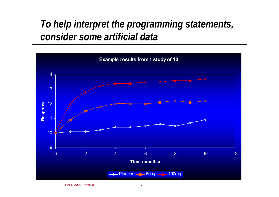## *To help interpret the programming statements, consider some artificial data*

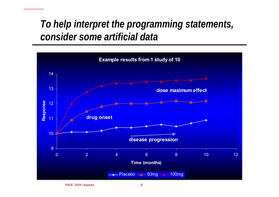## *To help interpret the programming statements, consider some artificial data*

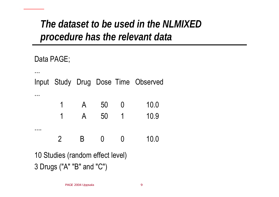## *The dataset to be used in the NLMIXED procedure has the relevant data*

Data PAGE;

...

...

....

Input Study Drug Dose Time Observed

| -1  | $\Delta$ | 50 | 10.0 |
|-----|----------|----|------|
| - 1 | $\Delta$ | 50 | 10.9 |

2 B 0 0 10.0

10 Studies (random effect level) 3 Drugs ("A" "B" and "C")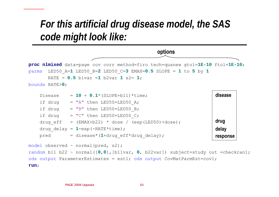### *For this artificial drug disease model, the SAS code might look like:*



```
if drug = "B" then LED50=LED50 B;
if drug = "C" then LED50=LED50 C;
drug eff = (EMAX+b22) * dose / (exp(LED50)+dose);drug_delay = 
1-exp(-RATE*time);
pred = disease*(
1+drug_eff*drug_delay);
                                                              drug
                                                              delay
                                                              response
```

```
model observed ~ normal(pred, s2);
random b11 b22 ~ normal([
0,0],[b11var, 
0, b22var]) subject=study out =checkran1; 
ods output ParameterEstimates = est1; ods output CovMatParmEst=cov1;
run;
```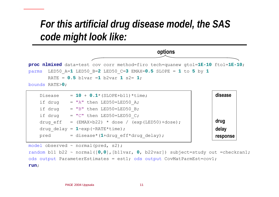### *For this artificial drug disease model, the SAS code might look like:*



| Disease | $= 10 + 0.1$ * (SLOPE+b11)*time;                      | disease  |
|---------|-------------------------------------------------------|----------|
| if drug | $= "A"$ then LED50=LED50 A;                           |          |
| if drug | $= "B"$ then LED50=LED50 B;                           |          |
| if drug | $= "C"$ then LED50=LED50 C;                           |          |
|         | drug eff = $(EMAX+b22) * dose / (exp(LED50) + dose);$ | drug     |
|         | drug delay = $1$ -exp (-RATE*time);                   | delay    |
| pred    | = disease* $(1+drug eff*drug delay)$ ;                | response |
|         |                                                       |          |

model observed ~ normal(pred, s2);

random b11 b22 ~ normal([ **0**,**0**],[b11var, **0**, b22var]) subject=study out =checkran1; ods output ParameterEstimates = est1; ods output CovMatParmEst=cov1; **run**;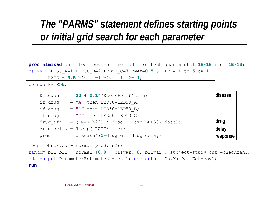## *The "PARMS" statement defines starting points or initial grid search for each parameter*

**proc nlmixed** data=test cov corr method=firo tech=quanew gtol=**1E-10** ftol=**1E-10**;

```
parms LED50_A=
1 LED50_B=
2 LED50_C=
3 EMAX=0.5 SLOPE
=
1 to 
5 by 
1
       RATE
= 0.5 b1var =
1 b2var 
1 s2= 
1;
```
bounds RATE> **0**;

Disease = **10** + **0.1**\*(SLOPE+b11)\*time; if drug  $= "A"$  then LED50=LED50 A; if drug  $= "B"$  then LED50=LED50 B; if drug  $= "C"$  then LED50=LED50 C; drug eff =  $(EMAX+b22) * dose / (exp(LED50)+dose);$ drug\_delay = **1**-exp(-RATE\*time); pred = disease\*( **<sup>1</sup>**+drug\_eff\*drug\_delay); model observed ~ normal(pred, s2); random b11 b22 ~ normal([ **0**,**0**],[b11var, **0**, b22var]) subject=study out =checkran1; ods output ParameterEstimates = est1; ods output CovMatParmEst=cov1; **run**; **diseasedrug delay response**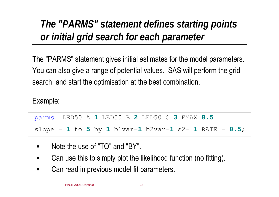# *The "PARMS" statement defines starting points or initial grid search for each parameter*

The "PARMS" statement gives initial estimates for the model parameters. You can also give a range of potential values. SAS will perform the grid search, and start the optimisation at the best combination.

Example:

| $\upmu$ parms $\upmu$ LED50 A=1 LED50 B=2 LED50 C=3 EMAX=0.5 |  |
|--------------------------------------------------------------|--|
| slope = 1 to 5 by 1 blvar=1 b2var=1 s2= 1 RATE = $0.5$ ;     |  |

- $\blacksquare$ Note the use of "TO" and "BY".
- $\blacksquare$ Can use this to simply plot the likelihood function (no fitting).
- $\blacksquare$ Can read in previous model fit parameters.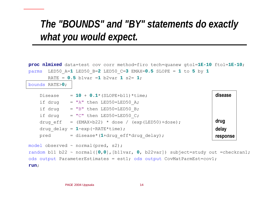## *The "BOUNDS" and "BY" statements do exactly what you would expect.*

```
proc nlmixed data=test cov corr method=firo tech=quanew gtol=1E-10 ftol=1E-10;
parms LED50_A=
1 LED50_B=
2 LED50_C=
3 EMAX=0.5 SLOPE
=
1 to 
5 by 
1
       RATE
= 0.5 b1var =
1 b2var 
1 s2= 
1;
bounds RATE>
0;
```

```
Disease = 10 + 0.1*(SLOPE+b11)*time;
   if drug = "A" then LED50=LED50 A;
   if drug = "B" then LED50=LED50 B;
   if drug = "C" then LED50=LED50 C;
   drug eff = (EMAX+b22) * dose / (exp(LED50)+dose);drug_delay = 
1-exp(-RATE*time);
    pred = disease*(
1+drug_eff*drug_delay);
model observed ~ normal(pred, s2);
random b11 b22 ~ normal([
0,0],[b11var, 
0, b22var]) subject=study out =checkran1; 
ods output ParameterEstimates = est1; ods output CovMatParmEst=cov1;
run;
                                                                   diseasedrug
                                                                   delay
                                                                   response
```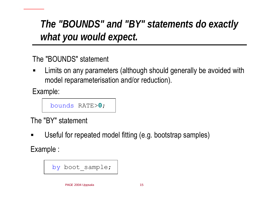# *The "BOUNDS" and "BY" statements do exactly what you would expect.*

The "BOUNDS" statement

 $\blacksquare$  Limits on any parameters (although should generally be avoided with model reparameterisation and/or reduction).

Example:

```
bounds RATE>
0;
```
The "BY" statement

 $\blacksquare$ Useful for repeated model fitting (e.g. bootstrap samples)

Example :

```
by boot sample;
```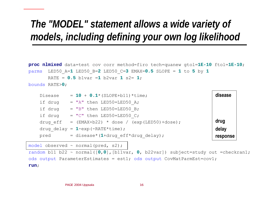# *The "MODEL" statement allows a wide variety of models, including defining your own log likelihood*

```
proc nlmixed data=test cov corr method=firo tech=quanew gtol=1E-10 ftol=1E-10;
parms LED50_A=
1 LED50_B=
2 LED50_C=
3 EMAX=0.5 SLOPE
=
1 to 
5 by 
1
       RATE= 0.5 b1var =
1 b2var 
1 s2= 
1;
bounds RATE>
0;
```
Disease = **10** + **0.1**\*(SLOPE+b11)\*time; if drug  $= "A"$  then LED50=LED50 A; if drug  $= "B"$  then LED50=LED50 B; if drug  $= "C"$  then LED50=LED50 C; drug eff =  $(EMAX+b22) * dose / (exp(LED50)+dose);$ drug\_delay = **1**-exp(-RATE\*time); pred = disease\*( **<sup>1</sup>**+drug\_eff\*drug\_delay); **diseasedrug delay response**

model observed ~ normal(pred, s2);

random b11 b22 ~ normal([ **0**,**0**],[b11var, **0**, b22var]) subject=study out =checkran1; ods output ParameterEstimates = est1; ods output CovMatParmEst=cov1; **run**;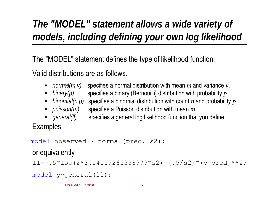# *The "MODEL" statement allows a wide variety of models, including defining your own log likelihood*

The "MODEL" statement defines the type of likelihood function.

Valid distributions are as follows.

- ■ *normal(m,v)* specifies a normal distribution with mean *m* and variance *v*.
- $\blacksquare$  binary(p) *binary(p)* specifies a binary (Bernouilli) distribution with probability *p*.
- $\blacksquare$ *binomial(n,p)* specifies a binomial distribution with count *n* and probability *p*.
- *poisson(m)* specifies a Poisson distribution with mean *m*.
- general(II) specifies a general log likelihood function that you define.

Examples

```
model observed ~ normal(pred, s2);
11=-.5*log(2*3.14159265358979*s2)-(.5/s2)*(y-pred)**2;model y~general(ll);
or equivalently
```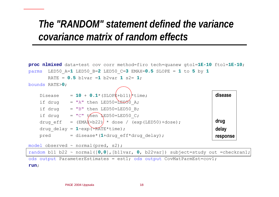### *The "RANDOM" statement defined the variance covariance matrix of random effects*

```
proc nlmixed data=test cov corr method=firo tech=quanew gtol=1E-10 ftol=1E-10;
parms LED50_A=
1 LED50_B=
2 LED50_C=
3 EMAX=0.5 SLOPE
=
1 to 
5 by 
1
       RATE= 0.5 b1var =
1 b2var 
1 s2= 
1;
bounds RATE>
0;
    Disease = 10 + 0.1*(SLOPE+b11)*time;
    if drug = "A" then LED50=\triangle EDSO A;
    if drug = "B" then LED50=LED50 B;
    if drug = "C" then \triangle EDS0=LED50 C;drug eff = (EMA\xi+b22) * dose / (exp (LED50) + dose);
    drug_delay = 
1-exp(-RATE*time);
    pred = disease*(
1+drug_eff*drug_delay);
model observed ~ normal(pred, s2);
                                                                       diseasedrug
                                                                      delay
                                                                       response
```
random b11 b22 ~ normal([ **0**,**0**],[b11var, **0**, b22var]) subject=study out =checkran1; ods output ParameterEstimates = est1; ods output CovMatParmEst=cov1; **run**;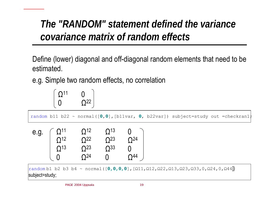# *The "RANDOM" statement defined the variance covariance matrix of random effects*

Define (lower) diagonal and off-diagonal random elements that need to be estimated.

e.g. Simple two random effects, no correlation



random b11 b22 ~ normal([ **0**,**0**],[b11var, **0**, b22var]) subject=study out =checkran1;

| e.g. |                                                                        | O <sup>12</sup> | O <sup>13</sup> |                 |
|------|------------------------------------------------------------------------|-----------------|-----------------|-----------------|
|      | $\begin{array}{l} \Omega^{11}\\ \Omega^{12}\\ \Omega^{13} \end{array}$ | O <sup>22</sup> | O <sup>23</sup> | O <sup>24</sup> |
|      |                                                                        | O <sup>23</sup> | O <sup>33</sup> |                 |
|      |                                                                        | O <sup>24</sup> | ! !             | O <sup>44</sup> |

random b1 b2 b3 b4 ~ normal([**0,0,0,0**],[Ω11,Ω12,Ω22,Ω13,Ω23,Ω33,0,Ω24,0,Ω44**]**) subject=study;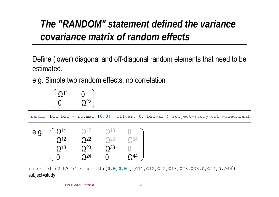# *The "RANDOM" statement defined the variance covariance matrix of random effects*

Define (lower) diagonal and off-diagonal random elements that need to be estimated.

e.g. Simple two random effects, no correlation



random b11 b22 ~ normal([ **0**,**0**],[b11var, **0**, b22var]) subject=study out =checkran1;



random b1 b2 b3 b4 ~ normal([**0,0,0,0**],[Ω11,Ω12,Ω22,Ω13,Ω23,Ω33,0,Ω24,0,Ω44**]**) subject=study;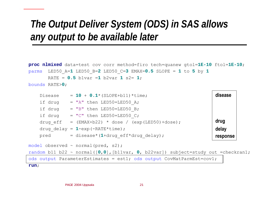# *The Output Deliver System (ODS) in SAS allows any output to be available later*

```
proc nlmixed data=test cov corr method=firo tech=quanew gtol=1E-10 ftol=1E-10;
parms LED50_A=
1 LED50_B=
2 LED50_C=
3 EMAX=0.5 SLOPE
=
1 to 
5 by 
1
       RATE= 0.5 b1var =
1 b2var 
1 s2= 
1;
bounds RATE>
0;
```

```
Disease = 10 + 0.1*(SLOPE+b11)*time;
    if drug = "A" then LED50=LED50 A;
    if drug = "B" then LED50=LED50 B;
    if drug = "C" then LED50=LED50 C;
   drug eff = (EMAX+b22) * dose / (exp (LED50)+dose);drug_delay = 
1-exp(-RATE*time);
    pred = disease*(
1+drug_eff*drug_delay);
model observed ~ normal(pred, s2);
random b11 b22 ~ normal([
0,0],[b11var, 
0, b22var]) subject=study out =checkran1; 
ods output ParameterEstimates = est1; ods output CovMatParmEst=cov1;
run;
                                                                   diseasedrug
                                                                   delay
                                                                   response
```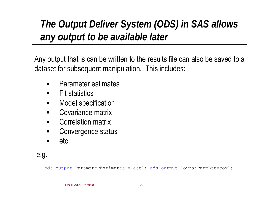# *The Output Deliver System (ODS) in SAS allows any output to be available later*

Any output that is can be written to the results file can also be saved to a dataset for subsequent manipulation. This includes:

- $\blacksquare$ Parameter estimates
- $\blacksquare$ Fit statistics
- П Model specification
- $\blacksquare$ Covariance matrix
- $\blacksquare$ Correlation matrix
- $\blacksquare$ Convergence status
- $\blacksquare$ etc.

### e.g.

ods output ParameterEstimates = est1; ods output CovMatParmEst=cov1;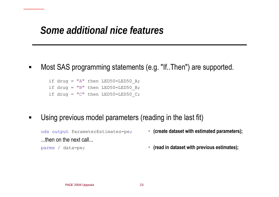## *Some additional nice features*

٠ Most SAS programming statements (e.g. "If..Then") are supported.

if drug = "A" then LED50=LED50 A; if drug = "B" then  $LED50 = LED50$  B; if drug = " $C$ " then LED50=LED50  $C$ ;

٠ Using previous model parameters (reading in the last fit)

```
ods output ParameterEstimates=pe;
...then on the next call...
```
\* (create dataset with estimated parameters);

- 
- parms / data=pe; \* **(read in dataset with previous estimates);**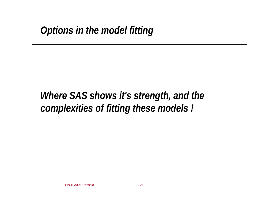# *Where SAS shows it's strength, and the complexities of fitting these models !*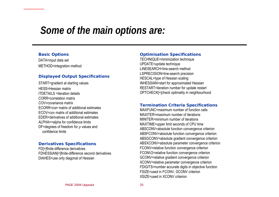### *Some of the main options are:*

#### **Basic Options**

DATA=input data set METHOD=integration m ethod

#### **Displayed Output Specifications**

START=gradient at starting values HESS=Hessian matrixITDETAILS=iteration detailsCORR=correlation matrixCOV=covariance matrixECORR=corr matrix of additional estimatesECOV=cov matrix of additional estimatesEDER=derivatives of additional estimatesALPHA==alpha f or confidence limitsDF=degrees of freedom for *p* values and confidence limits

#### **Derivatives Specifications**

FD[=]finite-difference deriv atives FDHESSIAN[=]finite-difference second derivatives DIAHES=use only diagonal of Hessian

#### **Optimisation Spe cifications**

TECHNIQUE=minimization technique UPDAT E=update technique LINESEARCH=line-search methodLSPRECISION=line-search precision HESCAL=type of Hessian scaling INHESSIAN=start for approximated Hessian RESTART=iteration number for update restart OPTCHECK[ =]check optimality in neighbourhood

#### **Termination Criteria Specifications**

MAXFUNC=maximum number of function callsMAXITER=maximum number of iterationsMINITER=minimum number of iterationsMAX TIME =upper limit sec onds of CPU time ABSCONV=absolute function convergence criteri on ABSFCONV=absolute function convergence criterion ABSGCONV=absolute gradient convergence criterion ABSXCONV=absolute paramet er convergence criterion FCONV=relative function convergence criterion FCONV2=relative function convergence criterion GCONV=relative gradient convergence criterion XCONV=relative parameter convergence criterion FDIGITS=number accurate digits in objective function FSIZE=used in FCONV, GCONV criterion XSIZE=used in XCONV criterion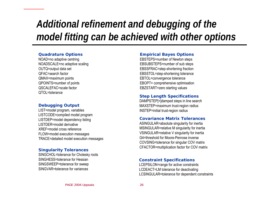# *Additional refinement and debugging of the model fitting can be achieved with other options*

#### **Quadrature Options**

NOAD=no adaptive centring NOADSCALE=no adaptive scaling OUTQ=output data set QFAC=search factor QMAX=maxi mum points QPOIN TS=number of points QSCALEF AC=scale factorQTOL=tolerance

#### **Debugging Output**

LIST=model program, variables LISTCODE=compiled model program LIS TDEP =model dependency listing LISTDER=model derivativeXREF=model cross referenceFLOW=model execution messages TRACE=detailed m odel execution m essages

#### **Singularity Tol erances**

SINGCHOL=tolerance f or Cholesky roots SINGHESS=tolerance for HessianSINGSWEEP=tolerance for sweep SINGVAR=tolerance for variances

#### **Empirical Bayes Options**

EBSTEPS=number of Newton steps EBSUBSTEPS=number of sub steps EBSSFRAC=step-shortening fraction EBSSTOL=step-shortening tolerance EBTOL=convergence tolerance EBOPT= comprehensive optimisation EBZSTART=zero starting values

#### **Step Length Specifications**

DAMPSTEP[ =]damped steps in line search MAXSTEP=maxi mum trust-region radius INSTEP=initi al trust-region radius

#### **Covariance Matrix Tolerances**

ASINGULAR=absolute singularity for inertia M SINGULAR=relative M singularity for inertia VSINGULAR=relati ve V singularity for inertia G4=threshold for Moore-Penrose inverseCOVSING=tolerance for singular COV matrix CF A CTOR=multiplication factor for COV matrix

#### **Constraint Speci fications**

LCEPSILON=range for active constraints LCDEACT=LM tolerance f or deactivating LCSINGULAR=tolerance for dependent constraints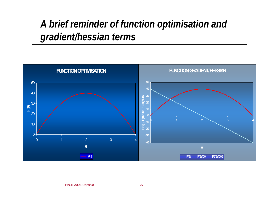### *A brief reminder of function optimisation and gradient/hessian terms*

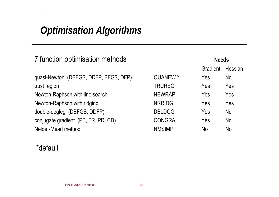# *Optimisation Algorithms*

| 7 function optimisation methods       |               | <b>Needs</b> |                |
|---------------------------------------|---------------|--------------|----------------|
|                                       |               | Gradient     | Hessian        |
| quasi-Newton (DBFGS, DDFP, BFGS, DFP) | QUANEW *      | Yes          | N <sub>o</sub> |
| trust region                          | <b>TRUREG</b> | Yes          | Yes            |
| Newton-Raphson with line search       | <b>NEWRAP</b> | Yes          | Yes            |
| Newton-Raphson with ridging           | <b>NRRIDG</b> | Yes          | Yes            |
| double-dogleg (DBFGS, DDFP)           | <b>DBLDOG</b> | Yes          | <b>No</b>      |
| conjugate gradient (PB, FR, PR, CD)   | <b>CONGRA</b> | Yes          | <b>No</b>      |
| Nelder-Mead method                    | <b>NMSIMP</b> | <b>No</b>    | <b>No</b>      |

### \*default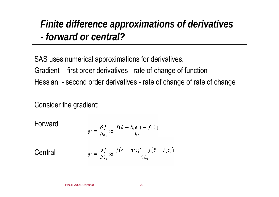## *Finite difference approximations of derivatives -forward or central?*

SAS uses numerical approximations for derivatives.

Gradient - first order derivatives - rate of change of function

Hessian -second order derivatives - rate of change of rate of change

Consider the gradient:

Forward

$$
g_i = \frac{\partial f}{\partial \theta_i} \approx \frac{f(\theta + h_i e_i) - f(\theta)}{h_i}
$$

 $g_i = \frac{\partial f}{\partial \theta_i} \approx \frac{f(\theta + h_i e_i) - f(\theta - h_i e_i)}{2h_i}$ 

Central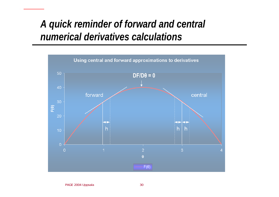## *A quick reminder of forward and central numerical derivatives calculations*

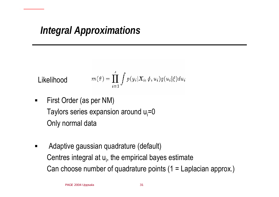# *Integral Approximations*

Likelihood 
$$
m(\theta) = \prod_{i=1}^{s} \int p(y_i | X_i, \phi, u_i) q(u_i | \xi) du_i
$$

- ٠ First Order (as per NM) Taylors series expansion around  $u_i=0$ Only normal data
- ٠ Adaptive gaussian quadrature (default) Centres integral at  $u_i$ , the empirical bayes estimate Can choose number of quadrature points (1 = Laplacian approx.)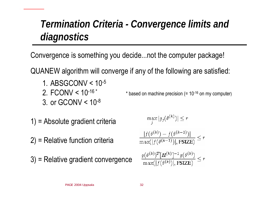# *Termination Criteria - Convergence limits and diagnostics*

Convergence is something you decide...not the computer package!

QUANEW algorithm will converge if any of the following are satisfied:

- 1. ABSGCONV < 10-5
- 2. FCONV <  $10^{-16}$ <sup>\*</sup>
- 3. or GCONV  $< 10^{-8}$
- 1) = Absolute gradient criteria
- 2) = Relative function criteria
- 3) = Relative gradient convergence

$$
\max_{j} |g_j(\theta^{(k)})| \le r
$$

$$
\frac{|f(\theta^{(k)}) - f(\theta^{(k-1)})|}{\max(|f(\theta^{(k-1)})|, \text{FSIZE})} \le r
$$

\* based on machine precision (=  $10^{-16}$  on my computer)

$$
\frac{g(\theta^{(k)})^T[H^{(k)}]^{-1}g(\theta^{(k)})}{\max(|f(\theta^{(k)})|,\text{FSIZE})} \leq r
$$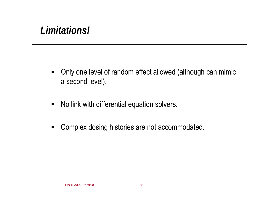# *Limitations!*

- $\blacksquare$  Only one level of random effect allowed (although can mimic a second level).
- $\blacksquare$ No link with differential equation solvers.
- $\blacksquare$ Complex dosing histories are not accommodated.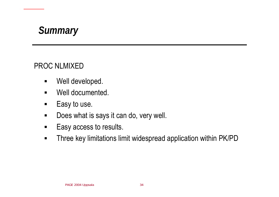

### PROC NLMIXED

- $\blacksquare$ Well developed.
- $\blacksquare$ Well documented.
- $\blacksquare$ Easy to use.
- $\blacksquare$ Does what is says it can do, very well.
- $\blacksquare$ Easy access to results.
- $\blacksquare$ Three key limitations limit widespread application within PK/PD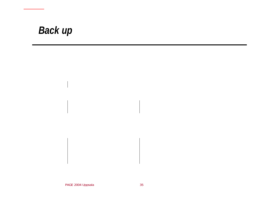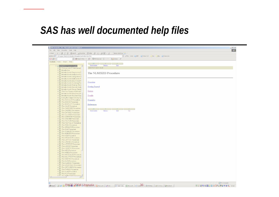# *SAS has well documented help files*

| File Edit View Favorites Tools Help<br>一部<br>↓Back ▼ → ▼ ◎ ◎ ۞ ۞ Search ③Favorites ※Media ③ B → ③ 丽 ▼ 目<br>Norton AntiVirus New<br>Address C:\Program Files\5A5OnlineDocV8\sasdoc\sashtml\onldoc.htm<br>▼ @ Go Links @ BBC @ Yahoo! UK   Ins   Epo @ Customize<br>Google -<br>▼ おsearch Web ▼ 39 BB533 blocked 日 AutoFill   20ptions 2<br>Contents Index Search Help<br>$-44$ $-1$<br>$\sim$ 4 $-$<br>$\rightarrow$<br><b>Book Contents</b><br>${\underline{\text{Next}}}$<br>Previous<br>E 88 SAS/STAT User's Guide<br>SAS/STAT User's Guide<br><b>E E</b> Changes and Enhancement<br>$\mathbb{E}$ $\Box$ Introduction<br><b>E Introduction to Regression P</b><br>The NLMIXED Procedure<br><b>E Introduction to Analysis-of-Vi</b><br><b>E E</b> Introduction to Categorical D<br><b>E E</b> Introduction to Multivariate P<br><b>E E</b> Introduction to Discriminant F<br>Overview<br><b>E E</b> Introduction to Clustering Pro<br>E E Introduction to Scoring, Stand<br><b>Getting Started</b><br><b>E</b> Introduction to Survival Analy<br><b>E E</b> Introduction to Survey Samp<br><b>Syntax</b><br><b>E E</b> The Four Types of Estimabl<br>E E Introduction to Nonparametri<br><b>E E</b> Introduction to Structural Equ<br><b>Details</b><br>E E Using the Output Delivery Sy<br>国国 The ACECLUS Procedure<br><b>Examples</b><br><b>E E</b> The ANOVA Procedure<br><b>⊞ En The BOXPLOT Procedure</b><br><b>References</b><br><b>⊞</b> The CALIS Procedure<br><b>⊞ The CANCORR Procedure</b><br>$-44$<br><b>Contract of the Contract</b><br>$\Delta$ .<br><b>E</b> The CANDISC Procedure<br><b>Book Contents</b><br>Previous<br>$\underline{\mathbf{Top}}$<br>Next<br><b>E E</b> The CATMOD Procedure<br><b>⊞ E</b> The CLUSTER Procedure<br>E The CORRESP Procedure<br>E E The DISCRIM Procedure<br><b>E</b> The FACTOR Procedure<br>E E The FASTCLUS Procedure<br>国国 The FREQ Procedure<br><b>E F</b> The GENMOD Procedure<br><b>E</b> The GLM Procedure<br><b>E</b> The GLMMOD Procedure<br>国国 The INBREED Procedure<br><b>E</b> The KDE Procedure<br><b>E E</b> The KRIGE2D Procedure<br>E <b>F</b> The LATTICE Procedure<br>E The LIFEREG Procedure<br>E The LIFETEST Procedure<br>⊞ The LOESS Procedure<br><b>E</b> The LOGISTIC Procedure<br>⊞ The MDS Procedure<br>E The MIXED Procedure<br><b>E E</b> The MODECLUS Procedure<br>E E The MULTTEST Procedure<br><b>E E</b> The NESTED Procedure<br><b>⊞ ■ The NLIN Procedure</b><br><b>⊞ The NLMIXED Procedure</b><br><b>E</b> The NPAR1WAY Procedure<br><b>E E</b> The ORTHOREG Procedure<br>E E The PHREG Procedure<br><b>⊞ The PLAN Procedure</b><br>E <b>E</b> The PLS Procedure<br>File The PRINCOMP Procedure,<br>My Computer<br><b>B</b> Start   [3] @ <b>BAGE &amp; 004 JPDS.ala</b> .  @Microsoft  @P SAS<br>SAS Online <b>X</b> Microsoft <b>2</b> Cannel <b>A.</b> SMSN Mes <b>3</b> SV: Price <b>1</b> Suntilled<br>5460000526000001, 22:42 | SAS OnlineDoc, V8 - Microsoft Internet Explorer | $ \boxed{B}$ $\times$ |
|--------------------------------------------------------------------------------------------------------------------------------------------------------------------------------------------------------------------------------------------------------------------------------------------------------------------------------------------------------------------------------------------------------------------------------------------------------------------------------------------------------------------------------------------------------------------------------------------------------------------------------------------------------------------------------------------------------------------------------------------------------------------------------------------------------------------------------------------------------------------------------------------------------------------------------------------------------------------------------------------------------------------------------------------------------------------------------------------------------------------------------------------------------------------------------------------------------------------------------------------------------------------------------------------------------------------------------------------------------------------------------------------------------------------------------------------------------------------------------------------------------------------------------------------------------------------------------------------------------------------------------------------------------------------------------------------------------------------------------------------------------------------------------------------------------------------------------------------------------------------------------------------------------------------------------------------------------------------------------------------------------------------------------------------------------------------------------------------------------------------------------------------------------------------------------------------------------------------------------------------------------------------------------------------------------------------------------------------------------------------------------------------------------------------------------------------------------------------------------------------------------------------------------------------------------------------------------------------------------------------------------------------------------------------------------------------------------------------------------------------------------------------------------------------------------------------------------------------------------------------------------------------------------------------------|-------------------------------------------------|-----------------------|
|                                                                                                                                                                                                                                                                                                                                                                                                                                                                                                                                                                                                                                                                                                                                                                                                                                                                                                                                                                                                                                                                                                                                                                                                                                                                                                                                                                                                                                                                                                                                                                                                                                                                                                                                                                                                                                                                                                                                                                                                                                                                                                                                                                                                                                                                                                                                                                                                                                                                                                                                                                                                                                                                                                                                                                                                                                                                                                                          |                                                 |                       |
|                                                                                                                                                                                                                                                                                                                                                                                                                                                                                                                                                                                                                                                                                                                                                                                                                                                                                                                                                                                                                                                                                                                                                                                                                                                                                                                                                                                                                                                                                                                                                                                                                                                                                                                                                                                                                                                                                                                                                                                                                                                                                                                                                                                                                                                                                                                                                                                                                                                                                                                                                                                                                                                                                                                                                                                                                                                                                                                          |                                                 |                       |
|                                                                                                                                                                                                                                                                                                                                                                                                                                                                                                                                                                                                                                                                                                                                                                                                                                                                                                                                                                                                                                                                                                                                                                                                                                                                                                                                                                                                                                                                                                                                                                                                                                                                                                                                                                                                                                                                                                                                                                                                                                                                                                                                                                                                                                                                                                                                                                                                                                                                                                                                                                                                                                                                                                                                                                                                                                                                                                                          |                                                 |                       |
|                                                                                                                                                                                                                                                                                                                                                                                                                                                                                                                                                                                                                                                                                                                                                                                                                                                                                                                                                                                                                                                                                                                                                                                                                                                                                                                                                                                                                                                                                                                                                                                                                                                                                                                                                                                                                                                                                                                                                                                                                                                                                                                                                                                                                                                                                                                                                                                                                                                                                                                                                                                                                                                                                                                                                                                                                                                                                                                          |                                                 |                       |
|                                                                                                                                                                                                                                                                                                                                                                                                                                                                                                                                                                                                                                                                                                                                                                                                                                                                                                                                                                                                                                                                                                                                                                                                                                                                                                                                                                                                                                                                                                                                                                                                                                                                                                                                                                                                                                                                                                                                                                                                                                                                                                                                                                                                                                                                                                                                                                                                                                                                                                                                                                                                                                                                                                                                                                                                                                                                                                                          |                                                 |                       |
|                                                                                                                                                                                                                                                                                                                                                                                                                                                                                                                                                                                                                                                                                                                                                                                                                                                                                                                                                                                                                                                                                                                                                                                                                                                                                                                                                                                                                                                                                                                                                                                                                                                                                                                                                                                                                                                                                                                                                                                                                                                                                                                                                                                                                                                                                                                                                                                                                                                                                                                                                                                                                                                                                                                                                                                                                                                                                                                          |                                                 |                       |
|                                                                                                                                                                                                                                                                                                                                                                                                                                                                                                                                                                                                                                                                                                                                                                                                                                                                                                                                                                                                                                                                                                                                                                                                                                                                                                                                                                                                                                                                                                                                                                                                                                                                                                                                                                                                                                                                                                                                                                                                                                                                                                                                                                                                                                                                                                                                                                                                                                                                                                                                                                                                                                                                                                                                                                                                                                                                                                                          |                                                 |                       |
|                                                                                                                                                                                                                                                                                                                                                                                                                                                                                                                                                                                                                                                                                                                                                                                                                                                                                                                                                                                                                                                                                                                                                                                                                                                                                                                                                                                                                                                                                                                                                                                                                                                                                                                                                                                                                                                                                                                                                                                                                                                                                                                                                                                                                                                                                                                                                                                                                                                                                                                                                                                                                                                                                                                                                                                                                                                                                                                          |                                                 |                       |
|                                                                                                                                                                                                                                                                                                                                                                                                                                                                                                                                                                                                                                                                                                                                                                                                                                                                                                                                                                                                                                                                                                                                                                                                                                                                                                                                                                                                                                                                                                                                                                                                                                                                                                                                                                                                                                                                                                                                                                                                                                                                                                                                                                                                                                                                                                                                                                                                                                                                                                                                                                                                                                                                                                                                                                                                                                                                                                                          |                                                 |                       |
|                                                                                                                                                                                                                                                                                                                                                                                                                                                                                                                                                                                                                                                                                                                                                                                                                                                                                                                                                                                                                                                                                                                                                                                                                                                                                                                                                                                                                                                                                                                                                                                                                                                                                                                                                                                                                                                                                                                                                                                                                                                                                                                                                                                                                                                                                                                                                                                                                                                                                                                                                                                                                                                                                                                                                                                                                                                                                                                          |                                                 |                       |
|                                                                                                                                                                                                                                                                                                                                                                                                                                                                                                                                                                                                                                                                                                                                                                                                                                                                                                                                                                                                                                                                                                                                                                                                                                                                                                                                                                                                                                                                                                                                                                                                                                                                                                                                                                                                                                                                                                                                                                                                                                                                                                                                                                                                                                                                                                                                                                                                                                                                                                                                                                                                                                                                                                                                                                                                                                                                                                                          |                                                 |                       |
|                                                                                                                                                                                                                                                                                                                                                                                                                                                                                                                                                                                                                                                                                                                                                                                                                                                                                                                                                                                                                                                                                                                                                                                                                                                                                                                                                                                                                                                                                                                                                                                                                                                                                                                                                                                                                                                                                                                                                                                                                                                                                                                                                                                                                                                                                                                                                                                                                                                                                                                                                                                                                                                                                                                                                                                                                                                                                                                          |                                                 |                       |
|                                                                                                                                                                                                                                                                                                                                                                                                                                                                                                                                                                                                                                                                                                                                                                                                                                                                                                                                                                                                                                                                                                                                                                                                                                                                                                                                                                                                                                                                                                                                                                                                                                                                                                                                                                                                                                                                                                                                                                                                                                                                                                                                                                                                                                                                                                                                                                                                                                                                                                                                                                                                                                                                                                                                                                                                                                                                                                                          |                                                 |                       |
|                                                                                                                                                                                                                                                                                                                                                                                                                                                                                                                                                                                                                                                                                                                                                                                                                                                                                                                                                                                                                                                                                                                                                                                                                                                                                                                                                                                                                                                                                                                                                                                                                                                                                                                                                                                                                                                                                                                                                                                                                                                                                                                                                                                                                                                                                                                                                                                                                                                                                                                                                                                                                                                                                                                                                                                                                                                                                                                          |                                                 |                       |
|                                                                                                                                                                                                                                                                                                                                                                                                                                                                                                                                                                                                                                                                                                                                                                                                                                                                                                                                                                                                                                                                                                                                                                                                                                                                                                                                                                                                                                                                                                                                                                                                                                                                                                                                                                                                                                                                                                                                                                                                                                                                                                                                                                                                                                                                                                                                                                                                                                                                                                                                                                                                                                                                                                                                                                                                                                                                                                                          |                                                 |                       |
|                                                                                                                                                                                                                                                                                                                                                                                                                                                                                                                                                                                                                                                                                                                                                                                                                                                                                                                                                                                                                                                                                                                                                                                                                                                                                                                                                                                                                                                                                                                                                                                                                                                                                                                                                                                                                                                                                                                                                                                                                                                                                                                                                                                                                                                                                                                                                                                                                                                                                                                                                                                                                                                                                                                                                                                                                                                                                                                          |                                                 |                       |
|                                                                                                                                                                                                                                                                                                                                                                                                                                                                                                                                                                                                                                                                                                                                                                                                                                                                                                                                                                                                                                                                                                                                                                                                                                                                                                                                                                                                                                                                                                                                                                                                                                                                                                                                                                                                                                                                                                                                                                                                                                                                                                                                                                                                                                                                                                                                                                                                                                                                                                                                                                                                                                                                                                                                                                                                                                                                                                                          |                                                 |                       |
|                                                                                                                                                                                                                                                                                                                                                                                                                                                                                                                                                                                                                                                                                                                                                                                                                                                                                                                                                                                                                                                                                                                                                                                                                                                                                                                                                                                                                                                                                                                                                                                                                                                                                                                                                                                                                                                                                                                                                                                                                                                                                                                                                                                                                                                                                                                                                                                                                                                                                                                                                                                                                                                                                                                                                                                                                                                                                                                          |                                                 |                       |
|                                                                                                                                                                                                                                                                                                                                                                                                                                                                                                                                                                                                                                                                                                                                                                                                                                                                                                                                                                                                                                                                                                                                                                                                                                                                                                                                                                                                                                                                                                                                                                                                                                                                                                                                                                                                                                                                                                                                                                                                                                                                                                                                                                                                                                                                                                                                                                                                                                                                                                                                                                                                                                                                                                                                                                                                                                                                                                                          |                                                 |                       |
|                                                                                                                                                                                                                                                                                                                                                                                                                                                                                                                                                                                                                                                                                                                                                                                                                                                                                                                                                                                                                                                                                                                                                                                                                                                                                                                                                                                                                                                                                                                                                                                                                                                                                                                                                                                                                                                                                                                                                                                                                                                                                                                                                                                                                                                                                                                                                                                                                                                                                                                                                                                                                                                                                                                                                                                                                                                                                                                          |                                                 |                       |
|                                                                                                                                                                                                                                                                                                                                                                                                                                                                                                                                                                                                                                                                                                                                                                                                                                                                                                                                                                                                                                                                                                                                                                                                                                                                                                                                                                                                                                                                                                                                                                                                                                                                                                                                                                                                                                                                                                                                                                                                                                                                                                                                                                                                                                                                                                                                                                                                                                                                                                                                                                                                                                                                                                                                                                                                                                                                                                                          |                                                 |                       |
|                                                                                                                                                                                                                                                                                                                                                                                                                                                                                                                                                                                                                                                                                                                                                                                                                                                                                                                                                                                                                                                                                                                                                                                                                                                                                                                                                                                                                                                                                                                                                                                                                                                                                                                                                                                                                                                                                                                                                                                                                                                                                                                                                                                                                                                                                                                                                                                                                                                                                                                                                                                                                                                                                                                                                                                                                                                                                                                          |                                                 |                       |
|                                                                                                                                                                                                                                                                                                                                                                                                                                                                                                                                                                                                                                                                                                                                                                                                                                                                                                                                                                                                                                                                                                                                                                                                                                                                                                                                                                                                                                                                                                                                                                                                                                                                                                                                                                                                                                                                                                                                                                                                                                                                                                                                                                                                                                                                                                                                                                                                                                                                                                                                                                                                                                                                                                                                                                                                                                                                                                                          |                                                 |                       |
|                                                                                                                                                                                                                                                                                                                                                                                                                                                                                                                                                                                                                                                                                                                                                                                                                                                                                                                                                                                                                                                                                                                                                                                                                                                                                                                                                                                                                                                                                                                                                                                                                                                                                                                                                                                                                                                                                                                                                                                                                                                                                                                                                                                                                                                                                                                                                                                                                                                                                                                                                                                                                                                                                                                                                                                                                                                                                                                          |                                                 |                       |
|                                                                                                                                                                                                                                                                                                                                                                                                                                                                                                                                                                                                                                                                                                                                                                                                                                                                                                                                                                                                                                                                                                                                                                                                                                                                                                                                                                                                                                                                                                                                                                                                                                                                                                                                                                                                                                                                                                                                                                                                                                                                                                                                                                                                                                                                                                                                                                                                                                                                                                                                                                                                                                                                                                                                                                                                                                                                                                                          |                                                 |                       |
|                                                                                                                                                                                                                                                                                                                                                                                                                                                                                                                                                                                                                                                                                                                                                                                                                                                                                                                                                                                                                                                                                                                                                                                                                                                                                                                                                                                                                                                                                                                                                                                                                                                                                                                                                                                                                                                                                                                                                                                                                                                                                                                                                                                                                                                                                                                                                                                                                                                                                                                                                                                                                                                                                                                                                                                                                                                                                                                          |                                                 |                       |
|                                                                                                                                                                                                                                                                                                                                                                                                                                                                                                                                                                                                                                                                                                                                                                                                                                                                                                                                                                                                                                                                                                                                                                                                                                                                                                                                                                                                                                                                                                                                                                                                                                                                                                                                                                                                                                                                                                                                                                                                                                                                                                                                                                                                                                                                                                                                                                                                                                                                                                                                                                                                                                                                                                                                                                                                                                                                                                                          |                                                 |                       |
|                                                                                                                                                                                                                                                                                                                                                                                                                                                                                                                                                                                                                                                                                                                                                                                                                                                                                                                                                                                                                                                                                                                                                                                                                                                                                                                                                                                                                                                                                                                                                                                                                                                                                                                                                                                                                                                                                                                                                                                                                                                                                                                                                                                                                                                                                                                                                                                                                                                                                                                                                                                                                                                                                                                                                                                                                                                                                                                          |                                                 |                       |
|                                                                                                                                                                                                                                                                                                                                                                                                                                                                                                                                                                                                                                                                                                                                                                                                                                                                                                                                                                                                                                                                                                                                                                                                                                                                                                                                                                                                                                                                                                                                                                                                                                                                                                                                                                                                                                                                                                                                                                                                                                                                                                                                                                                                                                                                                                                                                                                                                                                                                                                                                                                                                                                                                                                                                                                                                                                                                                                          |                                                 |                       |
|                                                                                                                                                                                                                                                                                                                                                                                                                                                                                                                                                                                                                                                                                                                                                                                                                                                                                                                                                                                                                                                                                                                                                                                                                                                                                                                                                                                                                                                                                                                                                                                                                                                                                                                                                                                                                                                                                                                                                                                                                                                                                                                                                                                                                                                                                                                                                                                                                                                                                                                                                                                                                                                                                                                                                                                                                                                                                                                          |                                                 |                       |
|                                                                                                                                                                                                                                                                                                                                                                                                                                                                                                                                                                                                                                                                                                                                                                                                                                                                                                                                                                                                                                                                                                                                                                                                                                                                                                                                                                                                                                                                                                                                                                                                                                                                                                                                                                                                                                                                                                                                                                                                                                                                                                                                                                                                                                                                                                                                                                                                                                                                                                                                                                                                                                                                                                                                                                                                                                                                                                                          |                                                 |                       |
|                                                                                                                                                                                                                                                                                                                                                                                                                                                                                                                                                                                                                                                                                                                                                                                                                                                                                                                                                                                                                                                                                                                                                                                                                                                                                                                                                                                                                                                                                                                                                                                                                                                                                                                                                                                                                                                                                                                                                                                                                                                                                                                                                                                                                                                                                                                                                                                                                                                                                                                                                                                                                                                                                                                                                                                                                                                                                                                          |                                                 |                       |
|                                                                                                                                                                                                                                                                                                                                                                                                                                                                                                                                                                                                                                                                                                                                                                                                                                                                                                                                                                                                                                                                                                                                                                                                                                                                                                                                                                                                                                                                                                                                                                                                                                                                                                                                                                                                                                                                                                                                                                                                                                                                                                                                                                                                                                                                                                                                                                                                                                                                                                                                                                                                                                                                                                                                                                                                                                                                                                                          |                                                 |                       |
|                                                                                                                                                                                                                                                                                                                                                                                                                                                                                                                                                                                                                                                                                                                                                                                                                                                                                                                                                                                                                                                                                                                                                                                                                                                                                                                                                                                                                                                                                                                                                                                                                                                                                                                                                                                                                                                                                                                                                                                                                                                                                                                                                                                                                                                                                                                                                                                                                                                                                                                                                                                                                                                                                                                                                                                                                                                                                                                          |                                                 |                       |
|                                                                                                                                                                                                                                                                                                                                                                                                                                                                                                                                                                                                                                                                                                                                                                                                                                                                                                                                                                                                                                                                                                                                                                                                                                                                                                                                                                                                                                                                                                                                                                                                                                                                                                                                                                                                                                                                                                                                                                                                                                                                                                                                                                                                                                                                                                                                                                                                                                                                                                                                                                                                                                                                                                                                                                                                                                                                                                                          |                                                 |                       |
|                                                                                                                                                                                                                                                                                                                                                                                                                                                                                                                                                                                                                                                                                                                                                                                                                                                                                                                                                                                                                                                                                                                                                                                                                                                                                                                                                                                                                                                                                                                                                                                                                                                                                                                                                                                                                                                                                                                                                                                                                                                                                                                                                                                                                                                                                                                                                                                                                                                                                                                                                                                                                                                                                                                                                                                                                                                                                                                          |                                                 |                       |
|                                                                                                                                                                                                                                                                                                                                                                                                                                                                                                                                                                                                                                                                                                                                                                                                                                                                                                                                                                                                                                                                                                                                                                                                                                                                                                                                                                                                                                                                                                                                                                                                                                                                                                                                                                                                                                                                                                                                                                                                                                                                                                                                                                                                                                                                                                                                                                                                                                                                                                                                                                                                                                                                                                                                                                                                                                                                                                                          |                                                 |                       |
|                                                                                                                                                                                                                                                                                                                                                                                                                                                                                                                                                                                                                                                                                                                                                                                                                                                                                                                                                                                                                                                                                                                                                                                                                                                                                                                                                                                                                                                                                                                                                                                                                                                                                                                                                                                                                                                                                                                                                                                                                                                                                                                                                                                                                                                                                                                                                                                                                                                                                                                                                                                                                                                                                                                                                                                                                                                                                                                          |                                                 |                       |
|                                                                                                                                                                                                                                                                                                                                                                                                                                                                                                                                                                                                                                                                                                                                                                                                                                                                                                                                                                                                                                                                                                                                                                                                                                                                                                                                                                                                                                                                                                                                                                                                                                                                                                                                                                                                                                                                                                                                                                                                                                                                                                                                                                                                                                                                                                                                                                                                                                                                                                                                                                                                                                                                                                                                                                                                                                                                                                                          |                                                 |                       |
|                                                                                                                                                                                                                                                                                                                                                                                                                                                                                                                                                                                                                                                                                                                                                                                                                                                                                                                                                                                                                                                                                                                                                                                                                                                                                                                                                                                                                                                                                                                                                                                                                                                                                                                                                                                                                                                                                                                                                                                                                                                                                                                                                                                                                                                                                                                                                                                                                                                                                                                                                                                                                                                                                                                                                                                                                                                                                                                          |                                                 |                       |
|                                                                                                                                                                                                                                                                                                                                                                                                                                                                                                                                                                                                                                                                                                                                                                                                                                                                                                                                                                                                                                                                                                                                                                                                                                                                                                                                                                                                                                                                                                                                                                                                                                                                                                                                                                                                                                                                                                                                                                                                                                                                                                                                                                                                                                                                                                                                                                                                                                                                                                                                                                                                                                                                                                                                                                                                                                                                                                                          |                                                 |                       |
|                                                                                                                                                                                                                                                                                                                                                                                                                                                                                                                                                                                                                                                                                                                                                                                                                                                                                                                                                                                                                                                                                                                                                                                                                                                                                                                                                                                                                                                                                                                                                                                                                                                                                                                                                                                                                                                                                                                                                                                                                                                                                                                                                                                                                                                                                                                                                                                                                                                                                                                                                                                                                                                                                                                                                                                                                                                                                                                          |                                                 |                       |
|                                                                                                                                                                                                                                                                                                                                                                                                                                                                                                                                                                                                                                                                                                                                                                                                                                                                                                                                                                                                                                                                                                                                                                                                                                                                                                                                                                                                                                                                                                                                                                                                                                                                                                                                                                                                                                                                                                                                                                                                                                                                                                                                                                                                                                                                                                                                                                                                                                                                                                                                                                                                                                                                                                                                                                                                                                                                                                                          |                                                 |                       |
|                                                                                                                                                                                                                                                                                                                                                                                                                                                                                                                                                                                                                                                                                                                                                                                                                                                                                                                                                                                                                                                                                                                                                                                                                                                                                                                                                                                                                                                                                                                                                                                                                                                                                                                                                                                                                                                                                                                                                                                                                                                                                                                                                                                                                                                                                                                                                                                                                                                                                                                                                                                                                                                                                                                                                                                                                                                                                                                          |                                                 |                       |
|                                                                                                                                                                                                                                                                                                                                                                                                                                                                                                                                                                                                                                                                                                                                                                                                                                                                                                                                                                                                                                                                                                                                                                                                                                                                                                                                                                                                                                                                                                                                                                                                                                                                                                                                                                                                                                                                                                                                                                                                                                                                                                                                                                                                                                                                                                                                                                                                                                                                                                                                                                                                                                                                                                                                                                                                                                                                                                                          |                                                 |                       |
|                                                                                                                                                                                                                                                                                                                                                                                                                                                                                                                                                                                                                                                                                                                                                                                                                                                                                                                                                                                                                                                                                                                                                                                                                                                                                                                                                                                                                                                                                                                                                                                                                                                                                                                                                                                                                                                                                                                                                                                                                                                                                                                                                                                                                                                                                                                                                                                                                                                                                                                                                                                                                                                                                                                                                                                                                                                                                                                          |                                                 |                       |
|                                                                                                                                                                                                                                                                                                                                                                                                                                                                                                                                                                                                                                                                                                                                                                                                                                                                                                                                                                                                                                                                                                                                                                                                                                                                                                                                                                                                                                                                                                                                                                                                                                                                                                                                                                                                                                                                                                                                                                                                                                                                                                                                                                                                                                                                                                                                                                                                                                                                                                                                                                                                                                                                                                                                                                                                                                                                                                                          |                                                 |                       |
|                                                                                                                                                                                                                                                                                                                                                                                                                                                                                                                                                                                                                                                                                                                                                                                                                                                                                                                                                                                                                                                                                                                                                                                                                                                                                                                                                                                                                                                                                                                                                                                                                                                                                                                                                                                                                                                                                                                                                                                                                                                                                                                                                                                                                                                                                                                                                                                                                                                                                                                                                                                                                                                                                                                                                                                                                                                                                                                          |                                                 |                       |
|                                                                                                                                                                                                                                                                                                                                                                                                                                                                                                                                                                                                                                                                                                                                                                                                                                                                                                                                                                                                                                                                                                                                                                                                                                                                                                                                                                                                                                                                                                                                                                                                                                                                                                                                                                                                                                                                                                                                                                                                                                                                                                                                                                                                                                                                                                                                                                                                                                                                                                                                                                                                                                                                                                                                                                                                                                                                                                                          |                                                 |                       |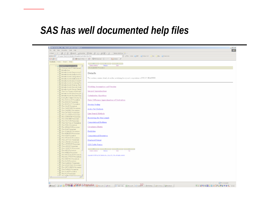# *SAS has well documented help files*

| SAS OnlineDoc, V8 - Microsoft Internet Explorer                                        |                                                                                                                                                                                                                                                                                                                | $ \boxed{B}$ $\times$ |
|----------------------------------------------------------------------------------------|----------------------------------------------------------------------------------------------------------------------------------------------------------------------------------------------------------------------------------------------------------------------------------------------------------------|-----------------------|
| File Edit View Favorites Tools Help                                                    |                                                                                                                                                                                                                                                                                                                |                       |
| ÷Back ← → ← ◎ 図 △ │ ◎Search ③Favorites ④Media ③ │ 名← ③ 國 ・ 目                           | Norton AntiVirus 2 +                                                                                                                                                                                                                                                                                           |                       |
| Address $\circled{e}$ C:\Program Files\5A5OnlineDocV8\sasdoc\sashtml\onldoc.htm        | ▼ @ Go Links @ BBC @ Yahoo! UK   Ins   Epo @ Customize                                                                                                                                                                                                                                                         |                       |
| Google -                                                                               | ▼ おsearch Web ▼ 39 BB533 blocked 日 AutoFill   20ptions 2                                                                                                                                                                                                                                                       |                       |
| Contents Index Search Help                                                             |                                                                                                                                                                                                                                                                                                                |                       |
|                                                                                        | <b>State of the Contract of the Contract of the Contract of the Contract of the Contract of the Contract of the Contract of the Contract of the Contract of the Contract of the Contract of the Contract of the Contract of the </b><br>$-4$<br>$\rightarrow$<br><b>Chapter Contents</b><br>$Next$<br>Previous |                       |
| E 88 SAS/STAT User's Guide<br>E changes and Enhancement                                | The NLMIXED Procedure                                                                                                                                                                                                                                                                                          |                       |
| $\mathbb{E}$ $\Box$ Introduction                                                       |                                                                                                                                                                                                                                                                                                                |                       |
| E E Introduction to Regression P<br><b>E Introduction to Analysis-of-Vi</b>            | Details                                                                                                                                                                                                                                                                                                        |                       |
| <b>E E</b> Introduction to Categorical D                                               |                                                                                                                                                                                                                                                                                                                |                       |
| <b>E htroduction to Multivariate P</b>                                                 | This section contains details about the underlying theory and computations of PROC NLMDKED.                                                                                                                                                                                                                    |                       |
| E <b>E</b> Introduction to Discriminant F<br><b>E E</b> Introduction to Clustering Pro |                                                                                                                                                                                                                                                                                                                |                       |
| <b>E E</b> Introduction to Scoring, Stand                                              |                                                                                                                                                                                                                                                                                                                |                       |
| <b>E E</b> Introduction to Survival Analy                                              | <b>Modeling Assumptions and Notation</b>                                                                                                                                                                                                                                                                       |                       |
| <b>E E</b> Introduction to Survey Samp<br>E <b>E</b> The Four Types of Estimabl        | <b>Integral Approximations</b>                                                                                                                                                                                                                                                                                 |                       |
| <b>E E</b> Introduction to Nonparametri                                                |                                                                                                                                                                                                                                                                                                                |                       |
| <b>E E</b> Introduction to Structural Equ                                              | <b>Optimization Algorithms</b>                                                                                                                                                                                                                                                                                 |                       |
| <b>E E</b> Using the Output Delivery Sy                                                |                                                                                                                                                                                                                                                                                                                |                       |
| <b>E</b> The ACECLUS Procedure<br><b>E E</b> The ANOVA Procedure                       | <b>Finite Difference Approximations of Derivatives</b>                                                                                                                                                                                                                                                         |                       |
| <b>E E</b> The BOXPLOT Procedure                                                       | <b>Hessian Scaling</b>                                                                                                                                                                                                                                                                                         |                       |
| <b>E</b> The CALIS Procedure                                                           |                                                                                                                                                                                                                                                                                                                |                       |
| <b>E</b> The CANCORR Procedure<br><b>E E</b> The CANDISC Procedure                     | <b>Active Set Methods</b>                                                                                                                                                                                                                                                                                      |                       |
| <b>E E</b> The CATMOD Procedure                                                        | Line-Search Methods                                                                                                                                                                                                                                                                                            |                       |
| <b>E E</b> The CLUSTER Procedure                                                       |                                                                                                                                                                                                                                                                                                                |                       |
| E E The CORRESP Procedure<br>E E The DISCRIM Procedure                                 | <b>Restricting the Step Length</b>                                                                                                                                                                                                                                                                             |                       |
| <b>E</b> The FACTOR Procedure                                                          |                                                                                                                                                                                                                                                                                                                |                       |
| <b>E E</b> The FASTCLUS Procedure                                                      | <b>Computational Problems</b>                                                                                                                                                                                                                                                                                  |                       |
| E The FREQ Procedure<br><b>E F</b> The GENMOD Procedure                                | <b>Covariance Matrix</b>                                                                                                                                                                                                                                                                                       |                       |
| E F The GLM Procedure                                                                  |                                                                                                                                                                                                                                                                                                                |                       |
| <b>E</b> The GLMMOD Procedure                                                          | Prediction                                                                                                                                                                                                                                                                                                     |                       |
| <b>E E</b> The INBREED Procedure<br><b>E</b> The KDE Procedure                         | <b>Computational Resources</b>                                                                                                                                                                                                                                                                                 |                       |
| <b>E</b> The KRIGE2D Procedure                                                         |                                                                                                                                                                                                                                                                                                                |                       |
| E <b>F</b> The LATTICE Procedure                                                       | <b>Displayed Output</b>                                                                                                                                                                                                                                                                                        |                       |
| E <b>B</b> The LIFEREG Procedure<br><b>E</b> B The LIFETEST Procedure                  | <b>ODS</b> Table Names                                                                                                                                                                                                                                                                                         |                       |
| ⊞ The LOESS Procedure                                                                  |                                                                                                                                                                                                                                                                                                                |                       |
| <b>E E</b> The LOGISTIC Procedure                                                      |                                                                                                                                                                                                                                                                                                                |                       |
| <b>E</b> The MDS Procedure<br><b>E E</b> The MIXED Procedure                           | Chapter Contents<br>Next.<br>Previous<br>Top                                                                                                                                                                                                                                                                   |                       |
| <b>E E</b> The MODECLUS Procedure                                                      | Copyright @ 1999 by SAS Institute Inc., Cary, NC, USA. All rights reserved.                                                                                                                                                                                                                                    |                       |
| E E The MULTTEST Procedure                                                             |                                                                                                                                                                                                                                                                                                                |                       |
| <b>E E</b> The NESTED Procedure<br>E E The NLIN Procedure                              |                                                                                                                                                                                                                                                                                                                |                       |
| E E The NLMIXED Procedure                                                              |                                                                                                                                                                                                                                                                                                                |                       |
| <b>E The NPAR1WAY Procedure</b>                                                        |                                                                                                                                                                                                                                                                                                                |                       |
| <b>E</b> E The ORTHOREG Procedure<br>国国 The PHREG Procedure                            |                                                                                                                                                                                                                                                                                                                |                       |
| <b>E</b> Fi The PLAN Procedure                                                         |                                                                                                                                                                                                                                                                                                                |                       |
| <b>⊞ The PLS Procedure</b><br><b>E F</b> The PRINCOMP Procedure                        |                                                                                                                                                                                                                                                                                                                |                       |
|                                                                                        |                                                                                                                                                                                                                                                                                                                |                       |
|                                                                                        |                                                                                                                                                                                                                                                                                                                |                       |
|                                                                                        |                                                                                                                                                                                                                                                                                                                | My Computer           |
|                                                                                        | 9<br>9Astart    [2] @ <u>@ BASTE @ QO</u> A JODDSQIQ  [@]microsoft  @\$sas        @]sas_onli  @\crosoft  @\crata_ @\anstingstances  @@untitled                                                                                                                                                                 | 54600000003000000     |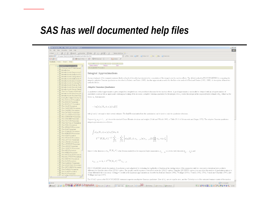# *SAS has well documented help files*

| File Edit View Favorites Tools Help<br>←Back ← → ← ◎ ② △ │ ◎Search ③Favorites ④Media ④   B+ 刍 丽 • 目<br>Norton AntiVirus New<br>Address (C:\Program Files\SASOnlineDocV8\sasdoc\sashtml\onldoc.htm<br>Vahoo! UK TIns Epo & Customize<br>Google -<br>▼ 徐Search Web → 第 日533 blocked 日 AutoFil   20ptions /<br>Contents Index Search Help<br>$\blacktriangleleft$<br>Next<br><b>Chapter Contents</b><br>Previous<br>E BE SAS/STAT User's Guide<br>The NLMIXED Procedure<br><b>E E</b> Changes and Enhancement<br>$\mathbb{E}$ $\Box$ Introduction<br><b>E E</b> Introduction to Regression P<br><b>Integral Approximations</b><br>E E Introduction to Analysis-of-Vi<br><b>E E</b> Introduction to Categorical D<br>An important part of the marginal maximum likelihood method described previously is the computation of the integral over the random effects. The default method in PROC NLMIXED for computing this<br>E E Introduction to Multivariate P<br>integral is adaptive Gaussian quadrature as described in Pinheiro and Bates (1995). Another approximation method is the first-order method of Beal and Sheiner (1982, 1988). A description of these two<br>E E Introduction to Discriminant F<br>methods follows.<br><b>E E</b> Introduction to Clustering Pro<br>E E Introduction to Scoring, Stand<br><b>Adaptive Gaussian Quadrature</b><br><b>E E</b> Introduction to Survival Analy<br><b>E</b> E Introduction to Survey Samp<br><b>E E</b> The Four Types of Estimabl<br>A quadrature method approximates a given integral by a weighted sum over predefined abscissas for the random effects. A good approximation can usually be obtained with an adequate number of<br><b>E E</b> Introduction to Nonparametri<br>quadrature points as well as appropriate centering and scaling of the abscissas. Adaptive Gaussian quadrature for the integral over $u_i$ centers the integral at the empirical Bayes estimate of $u_i$ , defined as the<br><b>E E</b> Introduction to Structural Equ<br>vector $\hat{u}_i$ that minimizes<br><b>E</b> E Using the Output Delivery Sy<br><b>E E</b> The ACECLUS Procedure<br><b>⊞ E</b> The ANOVA Procedure<br><b>E</b> E The BOXPLOT Procedure<br>$-\log[p(y_i X_i, \phi, u_i)q(u_i \xi)]$<br>E E The CALIS Procedure<br><b>E</b> E The CANCORR Procedure<br><b>⊞</b> The CANDISC Procedure<br><b>⊞</b> The CATMOD Procedure<br>with $\phi$ and $\xi$ set equal to their current estimates. The final Hessian matrix from this optimization can be used to scale the quadrature abscissas.<br>E E The CLUSTER Procedure<br>E The CORRESP Procedure<br>E E The DISCRIM Procedure<br>Suppose (Z <sub>p</sub> , W <sub>p</sub> ,j = 1,  p) denote the standard Gauss-Hermite abscissas and weights (Golub and Welsch 1969, or Table 25.10 of Abramowitz and Stegun 1972). The adaptive Gaussian quadrature<br><b>E F</b> The FACTOR Procedure<br>integral approximation is as follows.<br><b>E E</b> The FASTCLUS Procedure<br>E F The FREQ Procedure<br><b>E F</b> The GENMOD Procedure<br><b>E</b> Fi The GLM Procedure<br>$\int p(y_i X_i,\phi,u_i)q(u_i \xi)du_i \approx$<br><b>E</b> The GLMMOD Procedure<br>E E The INBREED Procedure<br><b>E F</b> The KDE Procedure<br>$2^{r/2} \;  \Gamma(X_i,\theta) ^{-1/2} \; \sum_{i, \, = \, 1}^p \cdots \sum_{i, \, = \, 1}^p \left[ p\big( y_i   X_i, \phi, a_{j_1,\ldots,j_r} \big) q\big( a_{j_1,\ldots,j_r}   \xi \big) \prod_{k=1}^r w_{j_k} \; \text{exp} \, x_{j_k}^2 \right]$<br>国国 The KRIGE2D Procedure<br><b>E</b> The LATTICE Procedure<br><b>E The LIFEREG Procedure</b><br><b>E</b> B The LIFETEST Procedure<br>⊞ The LOESS Procedure<br><b>E E</b> The LOGISTIC Procedure<br>⊞ The MDS Procedure<br>where r is the dimension of $u_j$ , $\Gamma(X_i, \theta)$ is the Hessian matrix from the empirical Bayes minimization, $z_{j_1,\dots,j_r}$ is a vector with elements $(z_{j_1}, \dots, z_{j_r})$ , and<br><b>E E</b> The MIXED Procedure<br><b>E</b> E The MODECLUS Procedure<br>E E The MULTTEST Procedure<br><b>⊞</b> The NESTED Procedure<br>$a_{j_1,\ldots,j_k} = \hat{u}_i + 2^{1/2} \Gamma(X_i,\theta)^{-1/2} z_{j_1,\ldots,j_k}$<br>国国<br>The NLIN Procedure<br>E E The NLMIXED Procedure<br><b>E</b> E The NPAR1WAY Procedure<br><b>E E</b> The ORTHOREG Procedure<br>PROC NLMIXED selects the number of quadrature points adaptively by evaluating the log likelihood function at the starting values of the parameters until two successive evaluations have a relative<br>国国 The PHREG Procedure<br>difference less than the value of the QTOL= option. The specific search sequence is described under the QFAC= option. Using the QPOINTS= option, you can adjust the number of quadrature points p to<br><b>⊞ The PLAN Procedure</b><br>obtain different levels of accuracy. Setting p=1 results in the Laplacian approximation as described in Beal and Sheiner (1992), Wolfinger (1993), Vonesh (1992, 1996), Vonesh and Chinchilli (1997), and<br><b>⊞</b> The PLS Procedure<br>Wolfinger and Lin (1997).<br><b>E</b> The PRINCOMP Procedure<br>The NOAD option in the PROC NLMDCED statement requests nonadaptive Gaussian quadrature. Here all $\hat{u}_i$ are set equal to zero, and the Cholesky root of the estimated variance matrix of the random<br>e) Done<br>My Computer | SAS OnlineDoc, V8 - Microsoft Internet Explorer | $ \theta$ $\times$ |  |
|-----------------------------------------------------------------------------------------------------------------------------------------------------------------------------------------------------------------------------------------------------------------------------------------------------------------------------------------------------------------------------------------------------------------------------------------------------------------------------------------------------------------------------------------------------------------------------------------------------------------------------------------------------------------------------------------------------------------------------------------------------------------------------------------------------------------------------------------------------------------------------------------------------------------------------------------------------------------------------------------------------------------------------------------------------------------------------------------------------------------------------------------------------------------------------------------------------------------------------------------------------------------------------------------------------------------------------------------------------------------------------------------------------------------------------------------------------------------------------------------------------------------------------------------------------------------------------------------------------------------------------------------------------------------------------------------------------------------------------------------------------------------------------------------------------------------------------------------------------------------------------------------------------------------------------------------------------------------------------------------------------------------------------------------------------------------------------------------------------------------------------------------------------------------------------------------------------------------------------------------------------------------------------------------------------------------------------------------------------------------------------------------------------------------------------------------------------------------------------------------------------------------------------------------------------------------------------------------------------------------------------------------------------------------------------------------------------------------------------------------------------------------------------------------------------------------------------------------------------------------------------------------------------------------------------------------------------------------------------------------------------------------------------------------------------------------------------------------------------------------------------------------------------------------------------------------------------------------------------------------------------------------------------------------------------------------------------------------------------------------------------------------------------------------------------------------------------------------------------------------------------------------------------------------------------------------------------------------------------------------------------------------------------------------------------------------------------------------------------------------------------------------------------------------------------------------------------------------------------------------------------------------------------------------------------------------------------------------------------------------------------------------------------------------------------------------------------------------------------------------------------------------------------------------------------------------------------------------------------------------------------------------------------------------------------------------------------------------------------------------------------------------------------------------------------------------------------------------------------------------------------------------------------------------------------------------------------------------------------------------------------------------------------------------------------------------------------------------------------------------------------------------------------------------------------------------------------------------------------------------------------------------------------------------------------------------------------------------------------------------------------------------------------------------------------------------------------------------------------------------------------------------------------------------------------------------------------------------------------------------------------------------------------------------------------------------------------|-------------------------------------------------|--------------------|--|
|                                                                                                                                                                                                                                                                                                                                                                                                                                                                                                                                                                                                                                                                                                                                                                                                                                                                                                                                                                                                                                                                                                                                                                                                                                                                                                                                                                                                                                                                                                                                                                                                                                                                                                                                                                                                                                                                                                                                                                                                                                                                                                                                                                                                                                                                                                                                                                                                                                                                                                                                                                                                                                                                                                                                                                                                                                                                                                                                                                                                                                                                                                                                                                                                                                                                                                                                                                                                                                                                                                                                                                                                                                                                                                                                                                                                                                                                                                                                                                                                                                                                                                                                                                                                                                                                                                                                                                                                                                                                                                                                                                                                                                                                                                                                                                                                                                                                                                                                                                                                                                                                                                                                                                                                                                                                                                                             |                                                 |                    |  |
|                                                                                                                                                                                                                                                                                                                                                                                                                                                                                                                                                                                                                                                                                                                                                                                                                                                                                                                                                                                                                                                                                                                                                                                                                                                                                                                                                                                                                                                                                                                                                                                                                                                                                                                                                                                                                                                                                                                                                                                                                                                                                                                                                                                                                                                                                                                                                                                                                                                                                                                                                                                                                                                                                                                                                                                                                                                                                                                                                                                                                                                                                                                                                                                                                                                                                                                                                                                                                                                                                                                                                                                                                                                                                                                                                                                                                                                                                                                                                                                                                                                                                                                                                                                                                                                                                                                                                                                                                                                                                                                                                                                                                                                                                                                                                                                                                                                                                                                                                                                                                                                                                                                                                                                                                                                                                                                             |                                                 |                    |  |
|                                                                                                                                                                                                                                                                                                                                                                                                                                                                                                                                                                                                                                                                                                                                                                                                                                                                                                                                                                                                                                                                                                                                                                                                                                                                                                                                                                                                                                                                                                                                                                                                                                                                                                                                                                                                                                                                                                                                                                                                                                                                                                                                                                                                                                                                                                                                                                                                                                                                                                                                                                                                                                                                                                                                                                                                                                                                                                                                                                                                                                                                                                                                                                                                                                                                                                                                                                                                                                                                                                                                                                                                                                                                                                                                                                                                                                                                                                                                                                                                                                                                                                                                                                                                                                                                                                                                                                                                                                                                                                                                                                                                                                                                                                                                                                                                                                                                                                                                                                                                                                                                                                                                                                                                                                                                                                                             |                                                 |                    |  |
|                                                                                                                                                                                                                                                                                                                                                                                                                                                                                                                                                                                                                                                                                                                                                                                                                                                                                                                                                                                                                                                                                                                                                                                                                                                                                                                                                                                                                                                                                                                                                                                                                                                                                                                                                                                                                                                                                                                                                                                                                                                                                                                                                                                                                                                                                                                                                                                                                                                                                                                                                                                                                                                                                                                                                                                                                                                                                                                                                                                                                                                                                                                                                                                                                                                                                                                                                                                                                                                                                                                                                                                                                                                                                                                                                                                                                                                                                                                                                                                                                                                                                                                                                                                                                                                                                                                                                                                                                                                                                                                                                                                                                                                                                                                                                                                                                                                                                                                                                                                                                                                                                                                                                                                                                                                                                                                             |                                                 |                    |  |
|                                                                                                                                                                                                                                                                                                                                                                                                                                                                                                                                                                                                                                                                                                                                                                                                                                                                                                                                                                                                                                                                                                                                                                                                                                                                                                                                                                                                                                                                                                                                                                                                                                                                                                                                                                                                                                                                                                                                                                                                                                                                                                                                                                                                                                                                                                                                                                                                                                                                                                                                                                                                                                                                                                                                                                                                                                                                                                                                                                                                                                                                                                                                                                                                                                                                                                                                                                                                                                                                                                                                                                                                                                                                                                                                                                                                                                                                                                                                                                                                                                                                                                                                                                                                                                                                                                                                                                                                                                                                                                                                                                                                                                                                                                                                                                                                                                                                                                                                                                                                                                                                                                                                                                                                                                                                                                                             |                                                 |                    |  |
|                                                                                                                                                                                                                                                                                                                                                                                                                                                                                                                                                                                                                                                                                                                                                                                                                                                                                                                                                                                                                                                                                                                                                                                                                                                                                                                                                                                                                                                                                                                                                                                                                                                                                                                                                                                                                                                                                                                                                                                                                                                                                                                                                                                                                                                                                                                                                                                                                                                                                                                                                                                                                                                                                                                                                                                                                                                                                                                                                                                                                                                                                                                                                                                                                                                                                                                                                                                                                                                                                                                                                                                                                                                                                                                                                                                                                                                                                                                                                                                                                                                                                                                                                                                                                                                                                                                                                                                                                                                                                                                                                                                                                                                                                                                                                                                                                                                                                                                                                                                                                                                                                                                                                                                                                                                                                                                             |                                                 |                    |  |
|                                                                                                                                                                                                                                                                                                                                                                                                                                                                                                                                                                                                                                                                                                                                                                                                                                                                                                                                                                                                                                                                                                                                                                                                                                                                                                                                                                                                                                                                                                                                                                                                                                                                                                                                                                                                                                                                                                                                                                                                                                                                                                                                                                                                                                                                                                                                                                                                                                                                                                                                                                                                                                                                                                                                                                                                                                                                                                                                                                                                                                                                                                                                                                                                                                                                                                                                                                                                                                                                                                                                                                                                                                                                                                                                                                                                                                                                                                                                                                                                                                                                                                                                                                                                                                                                                                                                                                                                                                                                                                                                                                                                                                                                                                                                                                                                                                                                                                                                                                                                                                                                                                                                                                                                                                                                                                                             |                                                 |                    |  |
|                                                                                                                                                                                                                                                                                                                                                                                                                                                                                                                                                                                                                                                                                                                                                                                                                                                                                                                                                                                                                                                                                                                                                                                                                                                                                                                                                                                                                                                                                                                                                                                                                                                                                                                                                                                                                                                                                                                                                                                                                                                                                                                                                                                                                                                                                                                                                                                                                                                                                                                                                                                                                                                                                                                                                                                                                                                                                                                                                                                                                                                                                                                                                                                                                                                                                                                                                                                                                                                                                                                                                                                                                                                                                                                                                                                                                                                                                                                                                                                                                                                                                                                                                                                                                                                                                                                                                                                                                                                                                                                                                                                                                                                                                                                                                                                                                                                                                                                                                                                                                                                                                                                                                                                                                                                                                                                             |                                                 |                    |  |
|                                                                                                                                                                                                                                                                                                                                                                                                                                                                                                                                                                                                                                                                                                                                                                                                                                                                                                                                                                                                                                                                                                                                                                                                                                                                                                                                                                                                                                                                                                                                                                                                                                                                                                                                                                                                                                                                                                                                                                                                                                                                                                                                                                                                                                                                                                                                                                                                                                                                                                                                                                                                                                                                                                                                                                                                                                                                                                                                                                                                                                                                                                                                                                                                                                                                                                                                                                                                                                                                                                                                                                                                                                                                                                                                                                                                                                                                                                                                                                                                                                                                                                                                                                                                                                                                                                                                                                                                                                                                                                                                                                                                                                                                                                                                                                                                                                                                                                                                                                                                                                                                                                                                                                                                                                                                                                                             |                                                 |                    |  |
|                                                                                                                                                                                                                                                                                                                                                                                                                                                                                                                                                                                                                                                                                                                                                                                                                                                                                                                                                                                                                                                                                                                                                                                                                                                                                                                                                                                                                                                                                                                                                                                                                                                                                                                                                                                                                                                                                                                                                                                                                                                                                                                                                                                                                                                                                                                                                                                                                                                                                                                                                                                                                                                                                                                                                                                                                                                                                                                                                                                                                                                                                                                                                                                                                                                                                                                                                                                                                                                                                                                                                                                                                                                                                                                                                                                                                                                                                                                                                                                                                                                                                                                                                                                                                                                                                                                                                                                                                                                                                                                                                                                                                                                                                                                                                                                                                                                                                                                                                                                                                                                                                                                                                                                                                                                                                                                             |                                                 |                    |  |
|                                                                                                                                                                                                                                                                                                                                                                                                                                                                                                                                                                                                                                                                                                                                                                                                                                                                                                                                                                                                                                                                                                                                                                                                                                                                                                                                                                                                                                                                                                                                                                                                                                                                                                                                                                                                                                                                                                                                                                                                                                                                                                                                                                                                                                                                                                                                                                                                                                                                                                                                                                                                                                                                                                                                                                                                                                                                                                                                                                                                                                                                                                                                                                                                                                                                                                                                                                                                                                                                                                                                                                                                                                                                                                                                                                                                                                                                                                                                                                                                                                                                                                                                                                                                                                                                                                                                                                                                                                                                                                                                                                                                                                                                                                                                                                                                                                                                                                                                                                                                                                                                                                                                                                                                                                                                                                                             |                                                 |                    |  |
|                                                                                                                                                                                                                                                                                                                                                                                                                                                                                                                                                                                                                                                                                                                                                                                                                                                                                                                                                                                                                                                                                                                                                                                                                                                                                                                                                                                                                                                                                                                                                                                                                                                                                                                                                                                                                                                                                                                                                                                                                                                                                                                                                                                                                                                                                                                                                                                                                                                                                                                                                                                                                                                                                                                                                                                                                                                                                                                                                                                                                                                                                                                                                                                                                                                                                                                                                                                                                                                                                                                                                                                                                                                                                                                                                                                                                                                                                                                                                                                                                                                                                                                                                                                                                                                                                                                                                                                                                                                                                                                                                                                                                                                                                                                                                                                                                                                                                                                                                                                                                                                                                                                                                                                                                                                                                                                             |                                                 |                    |  |
|                                                                                                                                                                                                                                                                                                                                                                                                                                                                                                                                                                                                                                                                                                                                                                                                                                                                                                                                                                                                                                                                                                                                                                                                                                                                                                                                                                                                                                                                                                                                                                                                                                                                                                                                                                                                                                                                                                                                                                                                                                                                                                                                                                                                                                                                                                                                                                                                                                                                                                                                                                                                                                                                                                                                                                                                                                                                                                                                                                                                                                                                                                                                                                                                                                                                                                                                                                                                                                                                                                                                                                                                                                                                                                                                                                                                                                                                                                                                                                                                                                                                                                                                                                                                                                                                                                                                                                                                                                                                                                                                                                                                                                                                                                                                                                                                                                                                                                                                                                                                                                                                                                                                                                                                                                                                                                                             |                                                 |                    |  |
|                                                                                                                                                                                                                                                                                                                                                                                                                                                                                                                                                                                                                                                                                                                                                                                                                                                                                                                                                                                                                                                                                                                                                                                                                                                                                                                                                                                                                                                                                                                                                                                                                                                                                                                                                                                                                                                                                                                                                                                                                                                                                                                                                                                                                                                                                                                                                                                                                                                                                                                                                                                                                                                                                                                                                                                                                                                                                                                                                                                                                                                                                                                                                                                                                                                                                                                                                                                                                                                                                                                                                                                                                                                                                                                                                                                                                                                                                                                                                                                                                                                                                                                                                                                                                                                                                                                                                                                                                                                                                                                                                                                                                                                                                                                                                                                                                                                                                                                                                                                                                                                                                                                                                                                                                                                                                                                             |                                                 |                    |  |
|                                                                                                                                                                                                                                                                                                                                                                                                                                                                                                                                                                                                                                                                                                                                                                                                                                                                                                                                                                                                                                                                                                                                                                                                                                                                                                                                                                                                                                                                                                                                                                                                                                                                                                                                                                                                                                                                                                                                                                                                                                                                                                                                                                                                                                                                                                                                                                                                                                                                                                                                                                                                                                                                                                                                                                                                                                                                                                                                                                                                                                                                                                                                                                                                                                                                                                                                                                                                                                                                                                                                                                                                                                                                                                                                                                                                                                                                                                                                                                                                                                                                                                                                                                                                                                                                                                                                                                                                                                                                                                                                                                                                                                                                                                                                                                                                                                                                                                                                                                                                                                                                                                                                                                                                                                                                                                                             |                                                 |                    |  |
|                                                                                                                                                                                                                                                                                                                                                                                                                                                                                                                                                                                                                                                                                                                                                                                                                                                                                                                                                                                                                                                                                                                                                                                                                                                                                                                                                                                                                                                                                                                                                                                                                                                                                                                                                                                                                                                                                                                                                                                                                                                                                                                                                                                                                                                                                                                                                                                                                                                                                                                                                                                                                                                                                                                                                                                                                                                                                                                                                                                                                                                                                                                                                                                                                                                                                                                                                                                                                                                                                                                                                                                                                                                                                                                                                                                                                                                                                                                                                                                                                                                                                                                                                                                                                                                                                                                                                                                                                                                                                                                                                                                                                                                                                                                                                                                                                                                                                                                                                                                                                                                                                                                                                                                                                                                                                                                             |                                                 |                    |  |
|                                                                                                                                                                                                                                                                                                                                                                                                                                                                                                                                                                                                                                                                                                                                                                                                                                                                                                                                                                                                                                                                                                                                                                                                                                                                                                                                                                                                                                                                                                                                                                                                                                                                                                                                                                                                                                                                                                                                                                                                                                                                                                                                                                                                                                                                                                                                                                                                                                                                                                                                                                                                                                                                                                                                                                                                                                                                                                                                                                                                                                                                                                                                                                                                                                                                                                                                                                                                                                                                                                                                                                                                                                                                                                                                                                                                                                                                                                                                                                                                                                                                                                                                                                                                                                                                                                                                                                                                                                                                                                                                                                                                                                                                                                                                                                                                                                                                                                                                                                                                                                                                                                                                                                                                                                                                                                                             |                                                 |                    |  |
|                                                                                                                                                                                                                                                                                                                                                                                                                                                                                                                                                                                                                                                                                                                                                                                                                                                                                                                                                                                                                                                                                                                                                                                                                                                                                                                                                                                                                                                                                                                                                                                                                                                                                                                                                                                                                                                                                                                                                                                                                                                                                                                                                                                                                                                                                                                                                                                                                                                                                                                                                                                                                                                                                                                                                                                                                                                                                                                                                                                                                                                                                                                                                                                                                                                                                                                                                                                                                                                                                                                                                                                                                                                                                                                                                                                                                                                                                                                                                                                                                                                                                                                                                                                                                                                                                                                                                                                                                                                                                                                                                                                                                                                                                                                                                                                                                                                                                                                                                                                                                                                                                                                                                                                                                                                                                                                             |                                                 |                    |  |
|                                                                                                                                                                                                                                                                                                                                                                                                                                                                                                                                                                                                                                                                                                                                                                                                                                                                                                                                                                                                                                                                                                                                                                                                                                                                                                                                                                                                                                                                                                                                                                                                                                                                                                                                                                                                                                                                                                                                                                                                                                                                                                                                                                                                                                                                                                                                                                                                                                                                                                                                                                                                                                                                                                                                                                                                                                                                                                                                                                                                                                                                                                                                                                                                                                                                                                                                                                                                                                                                                                                                                                                                                                                                                                                                                                                                                                                                                                                                                                                                                                                                                                                                                                                                                                                                                                                                                                                                                                                                                                                                                                                                                                                                                                                                                                                                                                                                                                                                                                                                                                                                                                                                                                                                                                                                                                                             |                                                 |                    |  |
|                                                                                                                                                                                                                                                                                                                                                                                                                                                                                                                                                                                                                                                                                                                                                                                                                                                                                                                                                                                                                                                                                                                                                                                                                                                                                                                                                                                                                                                                                                                                                                                                                                                                                                                                                                                                                                                                                                                                                                                                                                                                                                                                                                                                                                                                                                                                                                                                                                                                                                                                                                                                                                                                                                                                                                                                                                                                                                                                                                                                                                                                                                                                                                                                                                                                                                                                                                                                                                                                                                                                                                                                                                                                                                                                                                                                                                                                                                                                                                                                                                                                                                                                                                                                                                                                                                                                                                                                                                                                                                                                                                                                                                                                                                                                                                                                                                                                                                                                                                                                                                                                                                                                                                                                                                                                                                                             |                                                 |                    |  |
|                                                                                                                                                                                                                                                                                                                                                                                                                                                                                                                                                                                                                                                                                                                                                                                                                                                                                                                                                                                                                                                                                                                                                                                                                                                                                                                                                                                                                                                                                                                                                                                                                                                                                                                                                                                                                                                                                                                                                                                                                                                                                                                                                                                                                                                                                                                                                                                                                                                                                                                                                                                                                                                                                                                                                                                                                                                                                                                                                                                                                                                                                                                                                                                                                                                                                                                                                                                                                                                                                                                                                                                                                                                                                                                                                                                                                                                                                                                                                                                                                                                                                                                                                                                                                                                                                                                                                                                                                                                                                                                                                                                                                                                                                                                                                                                                                                                                                                                                                                                                                                                                                                                                                                                                                                                                                                                             |                                                 |                    |  |
|                                                                                                                                                                                                                                                                                                                                                                                                                                                                                                                                                                                                                                                                                                                                                                                                                                                                                                                                                                                                                                                                                                                                                                                                                                                                                                                                                                                                                                                                                                                                                                                                                                                                                                                                                                                                                                                                                                                                                                                                                                                                                                                                                                                                                                                                                                                                                                                                                                                                                                                                                                                                                                                                                                                                                                                                                                                                                                                                                                                                                                                                                                                                                                                                                                                                                                                                                                                                                                                                                                                                                                                                                                                                                                                                                                                                                                                                                                                                                                                                                                                                                                                                                                                                                                                                                                                                                                                                                                                                                                                                                                                                                                                                                                                                                                                                                                                                                                                                                                                                                                                                                                                                                                                                                                                                                                                             |                                                 |                    |  |
|                                                                                                                                                                                                                                                                                                                                                                                                                                                                                                                                                                                                                                                                                                                                                                                                                                                                                                                                                                                                                                                                                                                                                                                                                                                                                                                                                                                                                                                                                                                                                                                                                                                                                                                                                                                                                                                                                                                                                                                                                                                                                                                                                                                                                                                                                                                                                                                                                                                                                                                                                                                                                                                                                                                                                                                                                                                                                                                                                                                                                                                                                                                                                                                                                                                                                                                                                                                                                                                                                                                                                                                                                                                                                                                                                                                                                                                                                                                                                                                                                                                                                                                                                                                                                                                                                                                                                                                                                                                                                                                                                                                                                                                                                                                                                                                                                                                                                                                                                                                                                                                                                                                                                                                                                                                                                                                             |                                                 |                    |  |
|                                                                                                                                                                                                                                                                                                                                                                                                                                                                                                                                                                                                                                                                                                                                                                                                                                                                                                                                                                                                                                                                                                                                                                                                                                                                                                                                                                                                                                                                                                                                                                                                                                                                                                                                                                                                                                                                                                                                                                                                                                                                                                                                                                                                                                                                                                                                                                                                                                                                                                                                                                                                                                                                                                                                                                                                                                                                                                                                                                                                                                                                                                                                                                                                                                                                                                                                                                                                                                                                                                                                                                                                                                                                                                                                                                                                                                                                                                                                                                                                                                                                                                                                                                                                                                                                                                                                                                                                                                                                                                                                                                                                                                                                                                                                                                                                                                                                                                                                                                                                                                                                                                                                                                                                                                                                                                                             |                                                 |                    |  |
|                                                                                                                                                                                                                                                                                                                                                                                                                                                                                                                                                                                                                                                                                                                                                                                                                                                                                                                                                                                                                                                                                                                                                                                                                                                                                                                                                                                                                                                                                                                                                                                                                                                                                                                                                                                                                                                                                                                                                                                                                                                                                                                                                                                                                                                                                                                                                                                                                                                                                                                                                                                                                                                                                                                                                                                                                                                                                                                                                                                                                                                                                                                                                                                                                                                                                                                                                                                                                                                                                                                                                                                                                                                                                                                                                                                                                                                                                                                                                                                                                                                                                                                                                                                                                                                                                                                                                                                                                                                                                                                                                                                                                                                                                                                                                                                                                                                                                                                                                                                                                                                                                                                                                                                                                                                                                                                             |                                                 |                    |  |
|                                                                                                                                                                                                                                                                                                                                                                                                                                                                                                                                                                                                                                                                                                                                                                                                                                                                                                                                                                                                                                                                                                                                                                                                                                                                                                                                                                                                                                                                                                                                                                                                                                                                                                                                                                                                                                                                                                                                                                                                                                                                                                                                                                                                                                                                                                                                                                                                                                                                                                                                                                                                                                                                                                                                                                                                                                                                                                                                                                                                                                                                                                                                                                                                                                                                                                                                                                                                                                                                                                                                                                                                                                                                                                                                                                                                                                                                                                                                                                                                                                                                                                                                                                                                                                                                                                                                                                                                                                                                                                                                                                                                                                                                                                                                                                                                                                                                                                                                                                                                                                                                                                                                                                                                                                                                                                                             |                                                 |                    |  |
|                                                                                                                                                                                                                                                                                                                                                                                                                                                                                                                                                                                                                                                                                                                                                                                                                                                                                                                                                                                                                                                                                                                                                                                                                                                                                                                                                                                                                                                                                                                                                                                                                                                                                                                                                                                                                                                                                                                                                                                                                                                                                                                                                                                                                                                                                                                                                                                                                                                                                                                                                                                                                                                                                                                                                                                                                                                                                                                                                                                                                                                                                                                                                                                                                                                                                                                                                                                                                                                                                                                                                                                                                                                                                                                                                                                                                                                                                                                                                                                                                                                                                                                                                                                                                                                                                                                                                                                                                                                                                                                                                                                                                                                                                                                                                                                                                                                                                                                                                                                                                                                                                                                                                                                                                                                                                                                             |                                                 |                    |  |
|                                                                                                                                                                                                                                                                                                                                                                                                                                                                                                                                                                                                                                                                                                                                                                                                                                                                                                                                                                                                                                                                                                                                                                                                                                                                                                                                                                                                                                                                                                                                                                                                                                                                                                                                                                                                                                                                                                                                                                                                                                                                                                                                                                                                                                                                                                                                                                                                                                                                                                                                                                                                                                                                                                                                                                                                                                                                                                                                                                                                                                                                                                                                                                                                                                                                                                                                                                                                                                                                                                                                                                                                                                                                                                                                                                                                                                                                                                                                                                                                                                                                                                                                                                                                                                                                                                                                                                                                                                                                                                                                                                                                                                                                                                                                                                                                                                                                                                                                                                                                                                                                                                                                                                                                                                                                                                                             |                                                 |                    |  |
|                                                                                                                                                                                                                                                                                                                                                                                                                                                                                                                                                                                                                                                                                                                                                                                                                                                                                                                                                                                                                                                                                                                                                                                                                                                                                                                                                                                                                                                                                                                                                                                                                                                                                                                                                                                                                                                                                                                                                                                                                                                                                                                                                                                                                                                                                                                                                                                                                                                                                                                                                                                                                                                                                                                                                                                                                                                                                                                                                                                                                                                                                                                                                                                                                                                                                                                                                                                                                                                                                                                                                                                                                                                                                                                                                                                                                                                                                                                                                                                                                                                                                                                                                                                                                                                                                                                                                                                                                                                                                                                                                                                                                                                                                                                                                                                                                                                                                                                                                                                                                                                                                                                                                                                                                                                                                                                             |                                                 |                    |  |
|                                                                                                                                                                                                                                                                                                                                                                                                                                                                                                                                                                                                                                                                                                                                                                                                                                                                                                                                                                                                                                                                                                                                                                                                                                                                                                                                                                                                                                                                                                                                                                                                                                                                                                                                                                                                                                                                                                                                                                                                                                                                                                                                                                                                                                                                                                                                                                                                                                                                                                                                                                                                                                                                                                                                                                                                                                                                                                                                                                                                                                                                                                                                                                                                                                                                                                                                                                                                                                                                                                                                                                                                                                                                                                                                                                                                                                                                                                                                                                                                                                                                                                                                                                                                                                                                                                                                                                                                                                                                                                                                                                                                                                                                                                                                                                                                                                                                                                                                                                                                                                                                                                                                                                                                                                                                                                                             |                                                 |                    |  |
|                                                                                                                                                                                                                                                                                                                                                                                                                                                                                                                                                                                                                                                                                                                                                                                                                                                                                                                                                                                                                                                                                                                                                                                                                                                                                                                                                                                                                                                                                                                                                                                                                                                                                                                                                                                                                                                                                                                                                                                                                                                                                                                                                                                                                                                                                                                                                                                                                                                                                                                                                                                                                                                                                                                                                                                                                                                                                                                                                                                                                                                                                                                                                                                                                                                                                                                                                                                                                                                                                                                                                                                                                                                                                                                                                                                                                                                                                                                                                                                                                                                                                                                                                                                                                                                                                                                                                                                                                                                                                                                                                                                                                                                                                                                                                                                                                                                                                                                                                                                                                                                                                                                                                                                                                                                                                                                             |                                                 |                    |  |
|                                                                                                                                                                                                                                                                                                                                                                                                                                                                                                                                                                                                                                                                                                                                                                                                                                                                                                                                                                                                                                                                                                                                                                                                                                                                                                                                                                                                                                                                                                                                                                                                                                                                                                                                                                                                                                                                                                                                                                                                                                                                                                                                                                                                                                                                                                                                                                                                                                                                                                                                                                                                                                                                                                                                                                                                                                                                                                                                                                                                                                                                                                                                                                                                                                                                                                                                                                                                                                                                                                                                                                                                                                                                                                                                                                                                                                                                                                                                                                                                                                                                                                                                                                                                                                                                                                                                                                                                                                                                                                                                                                                                                                                                                                                                                                                                                                                                                                                                                                                                                                                                                                                                                                                                                                                                                                                             |                                                 |                    |  |
|                                                                                                                                                                                                                                                                                                                                                                                                                                                                                                                                                                                                                                                                                                                                                                                                                                                                                                                                                                                                                                                                                                                                                                                                                                                                                                                                                                                                                                                                                                                                                                                                                                                                                                                                                                                                                                                                                                                                                                                                                                                                                                                                                                                                                                                                                                                                                                                                                                                                                                                                                                                                                                                                                                                                                                                                                                                                                                                                                                                                                                                                                                                                                                                                                                                                                                                                                                                                                                                                                                                                                                                                                                                                                                                                                                                                                                                                                                                                                                                                                                                                                                                                                                                                                                                                                                                                                                                                                                                                                                                                                                                                                                                                                                                                                                                                                                                                                                                                                                                                                                                                                                                                                                                                                                                                                                                             |                                                 |                    |  |
|                                                                                                                                                                                                                                                                                                                                                                                                                                                                                                                                                                                                                                                                                                                                                                                                                                                                                                                                                                                                                                                                                                                                                                                                                                                                                                                                                                                                                                                                                                                                                                                                                                                                                                                                                                                                                                                                                                                                                                                                                                                                                                                                                                                                                                                                                                                                                                                                                                                                                                                                                                                                                                                                                                                                                                                                                                                                                                                                                                                                                                                                                                                                                                                                                                                                                                                                                                                                                                                                                                                                                                                                                                                                                                                                                                                                                                                                                                                                                                                                                                                                                                                                                                                                                                                                                                                                                                                                                                                                                                                                                                                                                                                                                                                                                                                                                                                                                                                                                                                                                                                                                                                                                                                                                                                                                                                             |                                                 |                    |  |
|                                                                                                                                                                                                                                                                                                                                                                                                                                                                                                                                                                                                                                                                                                                                                                                                                                                                                                                                                                                                                                                                                                                                                                                                                                                                                                                                                                                                                                                                                                                                                                                                                                                                                                                                                                                                                                                                                                                                                                                                                                                                                                                                                                                                                                                                                                                                                                                                                                                                                                                                                                                                                                                                                                                                                                                                                                                                                                                                                                                                                                                                                                                                                                                                                                                                                                                                                                                                                                                                                                                                                                                                                                                                                                                                                                                                                                                                                                                                                                                                                                                                                                                                                                                                                                                                                                                                                                                                                                                                                                                                                                                                                                                                                                                                                                                                                                                                                                                                                                                                                                                                                                                                                                                                                                                                                                                             |                                                 |                    |  |
|                                                                                                                                                                                                                                                                                                                                                                                                                                                                                                                                                                                                                                                                                                                                                                                                                                                                                                                                                                                                                                                                                                                                                                                                                                                                                                                                                                                                                                                                                                                                                                                                                                                                                                                                                                                                                                                                                                                                                                                                                                                                                                                                                                                                                                                                                                                                                                                                                                                                                                                                                                                                                                                                                                                                                                                                                                                                                                                                                                                                                                                                                                                                                                                                                                                                                                                                                                                                                                                                                                                                                                                                                                                                                                                                                                                                                                                                                                                                                                                                                                                                                                                                                                                                                                                                                                                                                                                                                                                                                                                                                                                                                                                                                                                                                                                                                                                                                                                                                                                                                                                                                                                                                                                                                                                                                                                             |                                                 |                    |  |
|                                                                                                                                                                                                                                                                                                                                                                                                                                                                                                                                                                                                                                                                                                                                                                                                                                                                                                                                                                                                                                                                                                                                                                                                                                                                                                                                                                                                                                                                                                                                                                                                                                                                                                                                                                                                                                                                                                                                                                                                                                                                                                                                                                                                                                                                                                                                                                                                                                                                                                                                                                                                                                                                                                                                                                                                                                                                                                                                                                                                                                                                                                                                                                                                                                                                                                                                                                                                                                                                                                                                                                                                                                                                                                                                                                                                                                                                                                                                                                                                                                                                                                                                                                                                                                                                                                                                                                                                                                                                                                                                                                                                                                                                                                                                                                                                                                                                                                                                                                                                                                                                                                                                                                                                                                                                                                                             |                                                 |                    |  |
|                                                                                                                                                                                                                                                                                                                                                                                                                                                                                                                                                                                                                                                                                                                                                                                                                                                                                                                                                                                                                                                                                                                                                                                                                                                                                                                                                                                                                                                                                                                                                                                                                                                                                                                                                                                                                                                                                                                                                                                                                                                                                                                                                                                                                                                                                                                                                                                                                                                                                                                                                                                                                                                                                                                                                                                                                                                                                                                                                                                                                                                                                                                                                                                                                                                                                                                                                                                                                                                                                                                                                                                                                                                                                                                                                                                                                                                                                                                                                                                                                                                                                                                                                                                                                                                                                                                                                                                                                                                                                                                                                                                                                                                                                                                                                                                                                                                                                                                                                                                                                                                                                                                                                                                                                                                                                                                             |                                                 |                    |  |
|                                                                                                                                                                                                                                                                                                                                                                                                                                                                                                                                                                                                                                                                                                                                                                                                                                                                                                                                                                                                                                                                                                                                                                                                                                                                                                                                                                                                                                                                                                                                                                                                                                                                                                                                                                                                                                                                                                                                                                                                                                                                                                                                                                                                                                                                                                                                                                                                                                                                                                                                                                                                                                                                                                                                                                                                                                                                                                                                                                                                                                                                                                                                                                                                                                                                                                                                                                                                                                                                                                                                                                                                                                                                                                                                                                                                                                                                                                                                                                                                                                                                                                                                                                                                                                                                                                                                                                                                                                                                                                                                                                                                                                                                                                                                                                                                                                                                                                                                                                                                                                                                                                                                                                                                                                                                                                                             |                                                 |                    |  |
|                                                                                                                                                                                                                                                                                                                                                                                                                                                                                                                                                                                                                                                                                                                                                                                                                                                                                                                                                                                                                                                                                                                                                                                                                                                                                                                                                                                                                                                                                                                                                                                                                                                                                                                                                                                                                                                                                                                                                                                                                                                                                                                                                                                                                                                                                                                                                                                                                                                                                                                                                                                                                                                                                                                                                                                                                                                                                                                                                                                                                                                                                                                                                                                                                                                                                                                                                                                                                                                                                                                                                                                                                                                                                                                                                                                                                                                                                                                                                                                                                                                                                                                                                                                                                                                                                                                                                                                                                                                                                                                                                                                                                                                                                                                                                                                                                                                                                                                                                                                                                                                                                                                                                                                                                                                                                                                             |                                                 |                    |  |
|                                                                                                                                                                                                                                                                                                                                                                                                                                                                                                                                                                                                                                                                                                                                                                                                                                                                                                                                                                                                                                                                                                                                                                                                                                                                                                                                                                                                                                                                                                                                                                                                                                                                                                                                                                                                                                                                                                                                                                                                                                                                                                                                                                                                                                                                                                                                                                                                                                                                                                                                                                                                                                                                                                                                                                                                                                                                                                                                                                                                                                                                                                                                                                                                                                                                                                                                                                                                                                                                                                                                                                                                                                                                                                                                                                                                                                                                                                                                                                                                                                                                                                                                                                                                                                                                                                                                                                                                                                                                                                                                                                                                                                                                                                                                                                                                                                                                                                                                                                                                                                                                                                                                                                                                                                                                                                                             |                                                 |                    |  |
|                                                                                                                                                                                                                                                                                                                                                                                                                                                                                                                                                                                                                                                                                                                                                                                                                                                                                                                                                                                                                                                                                                                                                                                                                                                                                                                                                                                                                                                                                                                                                                                                                                                                                                                                                                                                                                                                                                                                                                                                                                                                                                                                                                                                                                                                                                                                                                                                                                                                                                                                                                                                                                                                                                                                                                                                                                                                                                                                                                                                                                                                                                                                                                                                                                                                                                                                                                                                                                                                                                                                                                                                                                                                                                                                                                                                                                                                                                                                                                                                                                                                                                                                                                                                                                                                                                                                                                                                                                                                                                                                                                                                                                                                                                                                                                                                                                                                                                                                                                                                                                                                                                                                                                                                                                                                                                                             |                                                 |                    |  |
|                                                                                                                                                                                                                                                                                                                                                                                                                                                                                                                                                                                                                                                                                                                                                                                                                                                                                                                                                                                                                                                                                                                                                                                                                                                                                                                                                                                                                                                                                                                                                                                                                                                                                                                                                                                                                                                                                                                                                                                                                                                                                                                                                                                                                                                                                                                                                                                                                                                                                                                                                                                                                                                                                                                                                                                                                                                                                                                                                                                                                                                                                                                                                                                                                                                                                                                                                                                                                                                                                                                                                                                                                                                                                                                                                                                                                                                                                                                                                                                                                                                                                                                                                                                                                                                                                                                                                                                                                                                                                                                                                                                                                                                                                                                                                                                                                                                                                                                                                                                                                                                                                                                                                                                                                                                                                                                             |                                                 |                    |  |
|                                                                                                                                                                                                                                                                                                                                                                                                                                                                                                                                                                                                                                                                                                                                                                                                                                                                                                                                                                                                                                                                                                                                                                                                                                                                                                                                                                                                                                                                                                                                                                                                                                                                                                                                                                                                                                                                                                                                                                                                                                                                                                                                                                                                                                                                                                                                                                                                                                                                                                                                                                                                                                                                                                                                                                                                                                                                                                                                                                                                                                                                                                                                                                                                                                                                                                                                                                                                                                                                                                                                                                                                                                                                                                                                                                                                                                                                                                                                                                                                                                                                                                                                                                                                                                                                                                                                                                                                                                                                                                                                                                                                                                                                                                                                                                                                                                                                                                                                                                                                                                                                                                                                                                                                                                                                                                                             |                                                 |                    |  |
|                                                                                                                                                                                                                                                                                                                                                                                                                                                                                                                                                                                                                                                                                                                                                                                                                                                                                                                                                                                                                                                                                                                                                                                                                                                                                                                                                                                                                                                                                                                                                                                                                                                                                                                                                                                                                                                                                                                                                                                                                                                                                                                                                                                                                                                                                                                                                                                                                                                                                                                                                                                                                                                                                                                                                                                                                                                                                                                                                                                                                                                                                                                                                                                                                                                                                                                                                                                                                                                                                                                                                                                                                                                                                                                                                                                                                                                                                                                                                                                                                                                                                                                                                                                                                                                                                                                                                                                                                                                                                                                                                                                                                                                                                                                                                                                                                                                                                                                                                                                                                                                                                                                                                                                                                                                                                                                             |                                                 |                    |  |
|                                                                                                                                                                                                                                                                                                                                                                                                                                                                                                                                                                                                                                                                                                                                                                                                                                                                                                                                                                                                                                                                                                                                                                                                                                                                                                                                                                                                                                                                                                                                                                                                                                                                                                                                                                                                                                                                                                                                                                                                                                                                                                                                                                                                                                                                                                                                                                                                                                                                                                                                                                                                                                                                                                                                                                                                                                                                                                                                                                                                                                                                                                                                                                                                                                                                                                                                                                                                                                                                                                                                                                                                                                                                                                                                                                                                                                                                                                                                                                                                                                                                                                                                                                                                                                                                                                                                                                                                                                                                                                                                                                                                                                                                                                                                                                                                                                                                                                                                                                                                                                                                                                                                                                                                                                                                                                                             |                                                 |                    |  |
| <b>© BAGE 2004 Jppsala</b><br>SAS Online <b>N</b> Microsoft <b>8</b> Cannel <b>A.</b> S. MSN Mes <b>8</b> SV: Price <b>9</b> Untilled<br><b>El Microsoft</b> 23 SAS<br>5460000 <del>00</del> 2302 <i>2</i> 0008<br><b>B</b> Start<br>22:53                                                                                                                                                                                                                                                                                                                                                                                                                                                                                                                                                                                                                                                                                                                                                                                                                                                                                                                                                                                                                                                                                                                                                                                                                                                                                                                                                                                                                                                                                                                                                                                                                                                                                                                                                                                                                                                                                                                                                                                                                                                                                                                                                                                                                                                                                                                                                                                                                                                                                                                                                                                                                                                                                                                                                                                                                                                                                                                                                                                                                                                                                                                                                                                                                                                                                                                                                                                                                                                                                                                                                                                                                                                                                                                                                                                                                                                                                                                                                                                                                                                                                                                                                                                                                                                                                                                                                                                                                                                                                                                                                                                                                                                                                                                                                                                                                                                                                                                                                                                                                                                                                  |                                                 |                    |  |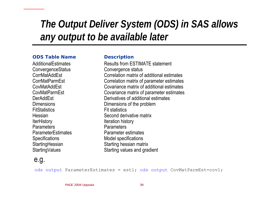# *The Output Deliver System (ODS) in SAS allows any output to be available later*

#### **ODS Table Name**

**AdditionalFstimates** ConvergenceStatus Convergence status CorrMatAddEstCorrMatParmEst**CovMatAddEst** CovMatParmEstDerAddEst**Dimensions FitStatistics Hessian IterHistory** Iteration history **Parameters ParameterEstimates** Specifications Model specifications

#### **Description**

Results from ESTIMATE statementCorrelation matrix of additional estimates Correlation matrix of parameter estimates Covariance matrix of additional estimatesCovariance m atrix of parameter estimates Derivatives of additional estimates Dimensions of the problem Fit statistics Second derivative matrix **Parameters**  Parameter estimates StartingHessian Starting hessian matrix Starting Values Starting values and gradient

### e.g.

ods output ParameterEstimates = est1; ods output CovMatParmEst=cov1;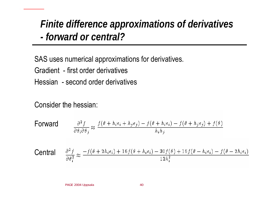## *Finite difference approximations of derivatives -forward or central?*

SAS uses numerical approximations for derivatives.

Gradient - first order derivatives

Hessian - second order derivatives

Consider the hessian:

**Forward**

\n
$$
\frac{\partial^2 f}{\partial \theta_i \partial \theta_j} \approx \frac{f(\theta + h_i e_i + h_j e_j) - f(\theta + h_i e_i) - f(\theta + h_j e_j) + f(\theta)}{h_i h_j}
$$
\n**Central**

\n
$$
\frac{\partial^2 f}{\partial \theta_i^2} \approx \frac{-f(\theta + 2h_i e_i) + 16f(\theta + h_i e_i) - 30f(\theta) + 16f(\theta - h_i e_i) - f(\theta - 2h_i e_i)}{12h_i^2}
$$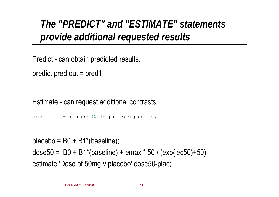# *The "PREDICT" and "ESTIMATE" statements provide additional requested results*

Predict - can obtain predicted results.

```
predict pred out = pred1;
```
### Estimate - can request additional contrasts

pred = disease ( **<sup>1</sup>**+drug\_eff\*drug\_delay);

placebo = B0 + B1\*(baseline);

```
dose50
= B0 + B1*(baseline) + emax * 50 / (exp(lec50)+50) ; 
estimate 'Dose of 50mg v placebo' dose50-plac;
```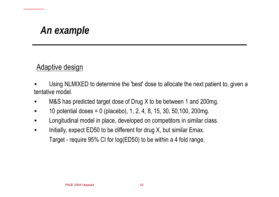# *An example*

### Adaptive design

- Using NLMIXED to determine the 'best' dose to allocate the next patient to, given a tentative model.
- $\blacksquare$ M&S has predicted target dose of Drug X to be between 1 and 200mg.
- $\blacksquare$ 10 potential doses = 0 (placebo), 1, 2, 4, 8, 15, 30, 50,100, 200mg.
- $\blacksquare$ Longitudinal model in place, developed on competitors in similar class.
- $\blacksquare$  Initially, expect ED50 to be different for drug X, but similar Emax. Target - require 95% CI for log(ED50) to be within a 4 fold range.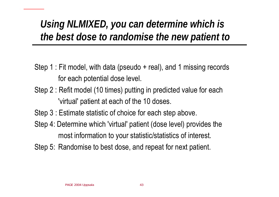# *Using NLMIXED, you can determine which is the best dose to randomise the new patient to*

- Step 1 : Fit model, with data (pseudo + real), and 1 missing records for each potential dose level.
- Step 2 : Refit model (10 times) putting in predicted value for each 'virtual' patient at each of the 10 doses.
- Step 3 : Estimate statistic of choice for each step above.
- Step 4: Determine which 'virtual' patient (dose level) provides the most information to your statistic/statistics of interest.
- Step 5: Randomise to best dose, and repeat for next patient.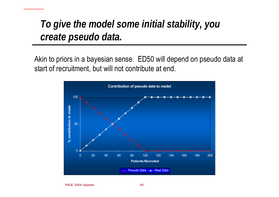# *To give the model some initial stability, you create pseudo data.*

Akin to priors in a bayesian sense. ED50 will depend on pseudo data at start of recruitment, but will not contribute at end.

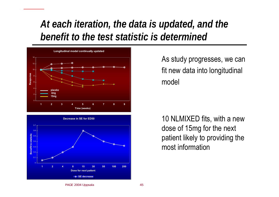## *At each iteration, the data is updated, and the benefit to the test statistic is determined*





As study progresses, we can fit new data into longitudinal model

10 NLMIXED fits, with a new dose of 15mg for the next patient likely to providing the most information

#### PAGE 2004 Uppsala 45